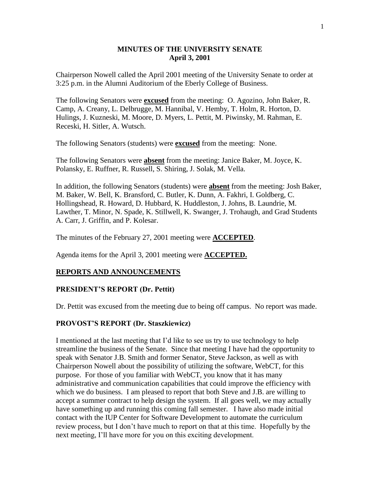### **MINUTES OF THE UNIVERSITY SENATE April 3, 2001**

Chairperson Nowell called the April 2001 meeting of the University Senate to order at 3:25 p.m. in the Alumni Auditorium of the Eberly College of Business.

The following Senators were **excused** from the meeting: O. Agozino, John Baker, R. Camp, A. Creany, L. Delbrugge, M. Hannibal, V. Hemby, T. Holm, R. Horton, D. Hulings, J. Kuzneski, M. Moore, D. Myers, L. Pettit, M. Piwinsky, M. Rahman, E. Receski, H. Sitler, A. Wutsch.

The following Senators (students) were **excused** from the meeting: None.

The following Senators were **absent** from the meeting: Janice Baker, M. Joyce, K. Polansky, E. Ruffner, R. Russell, S. Shiring, J. Solak, M. Vella.

In addition, the following Senators (students) were **absent** from the meeting: Josh Baker, M. Baker, W. Bell, K. Bransford, C. Butler, K. Dunn, A. Fakhri, I. Goldberg, C. Hollingshead, R. Howard, D. Hubbard, K. Huddleston, J. Johns, B. Laundrie, M. Lawther, T. Minor, N. Spade, K. Stillwell, K. Swanger, J. Trohaugh, and Grad Students A. Carr, J. Griffin, and P. Kolesar.

The minutes of the February 27, 2001 meeting were **ACCEPTED**.

Agenda items for the April 3, 2001 meeting were **ACCEPTED.**

#### **REPORTS AND ANNOUNCEMENTS**

#### **PRESIDENT'S REPORT (Dr. Pettit)**

Dr. Pettit was excused from the meeting due to being off campus. No report was made.

#### **PROVOST'S REPORT (Dr. Staszkiewicz)**

I mentioned at the last meeting that I'd like to see us try to use technology to help streamline the business of the Senate. Since that meeting I have had the opportunity to speak with Senator J.B. Smith and former Senator, Steve Jackson, as well as with Chairperson Nowell about the possibility of utilizing the software, WebCT, for this purpose. For those of you familiar with WebCT, you know that it has many administrative and communication capabilities that could improve the efficiency with which we do business. I am pleased to report that both Steve and J.B. are willing to accept a summer contract to help design the system. If all goes well, we may actually have something up and running this coming fall semester. I have also made initial contact with the IUP Center for Software Development to automate the curriculum review process, but I don't have much to report on that at this time. Hopefully by the next meeting, I'll have more for you on this exciting development.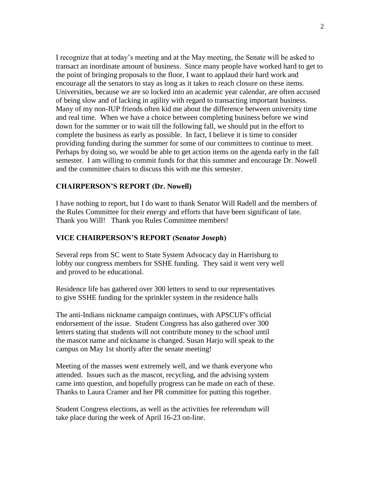I recognize that at today's meeting and at the May meeting, the Senate will be asked to transact an inordinate amount of business. Since many people have worked hard to get to the point of bringing proposals to the floor, I want to applaud their hard work and encourage all the senators to stay as long as it takes to reach closure on these items. Universities, because we are so locked into an academic year calendar, are often accused of being slow and of lacking in agility with regard to transacting important business. Many of my non-IUP friends often kid me about the difference between university time and real time. When we have a choice between completing business before we wind down for the summer or to wait till the following fall, we should put in the effort to complete the business as early as possible. In fact, I believe it is time to consider providing funding during the summer for some of our committees to continue to meet. Perhaps by doing so, we would be able to get action items on the agenda early in the fall semester. I am willing to commit funds for that this summer and encourage Dr. Nowell and the committee chairs to discuss this with me this semester.

#### **CHAIRPERSON'S REPORT (Dr. Nowell)**

I have nothing to report, but I do want to thank Senator Will Radell and the members of the Rules Committee for their energy and efforts that have been significant of late. Thank you Will! Thank you Rules Committee members!

#### **VICE CHAIRPERSON'S REPORT (Senator Joseph)**

Several reps from SC went to State System Advocacy day in Harrisburg to lobby our congress members for SSHE funding. They said it went very well and proved to be educational.

Residence life has gathered over 300 letters to send to our representatives to give SSHE funding for the sprinkler system in the residence halls

The anti-Indians nickname campaign continues, with APSCUF's official endorsement of the issue. Student Congress has also gathered over 300 letters stating that students will not contribute money to the school until the mascot name and nickname is changed. Susan Harjo will speak to the campus on May 1st shortly after the senate meeting!

Meeting of the masses went extremely well, and we thank everyone who attended. Issues such as the mascot, recycling, and the advising system came into question, and hopefully progress can be made on each of these. Thanks to Laura Cramer and her PR committee for putting this together.

Student Congress elections, as well as the activities fee referendum will take place during the week of April 16-23 on-line.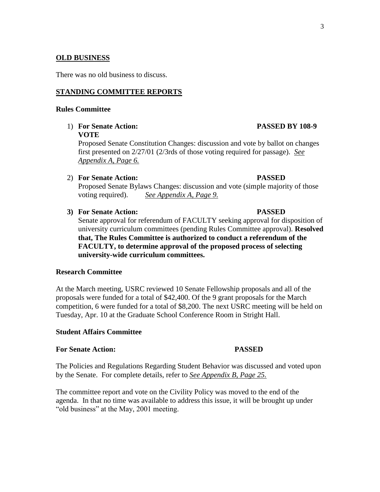# **OLD BUSINESS**

There was no old business to discuss.

#### **STANDING COMMITTEE REPORTS**

#### **Rules Committee**

1) **For Senate Action: PASSED BY 108-9 VOTE**

Proposed Senate Constitution Changes: discussion and vote by ballot on changes first presented on 2/27/01 (2/3rds of those voting required for passage). *See Appendix A, Page 6.* 

2) **For Senate Action: PASSED**

Proposed Senate Bylaws Changes: discussion and vote (simple majority of those voting required). *See Appendix A, Page 9.* 

**3) For Senate Action: PASSED**

Senate approval for referendum of FACULTY seeking approval for disposition of university curriculum committees (pending Rules Committee approval). **Resolved that, The Rules Committee is authorized to conduct a referendum of the FACULTY, to determine approval of the proposed process of selecting university-wide curriculum committees.**

#### **Research Committee**

At the March meeting, USRC reviewed 10 Senate Fellowship proposals and all of the proposals were funded for a total of \$42,400. Of the 9 grant proposals for the March competition, 6 were funded for a total of \$8,200. The next USRC meeting will be held on Tuesday, Apr. 10 at the Graduate School Conference Room in Stright Hall.

# **Student Affairs Committee**

#### **For Senate Action: PASSED**

The Policies and Regulations Regarding Student Behavior was discussed and voted upon by the Senate.For complete details, refer to *See Appendix B, Page 25.* 

The committee report and vote on the Civility Policy was moved to the end of the agenda. In that no time was available to address this issue, it will be brought up under "old business" at the May, 2001 meeting.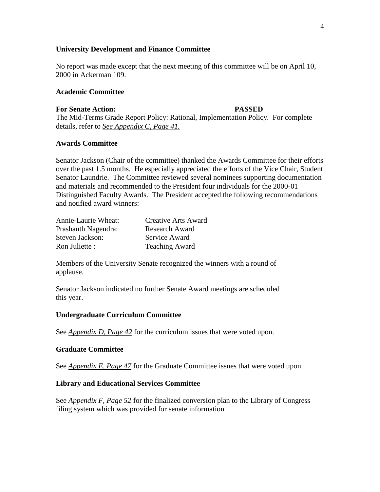#### **University Development and Finance Committee**

No report was made except that the next meeting of this committee will be on April 10, 2000 in Ackerman 109.

#### **Academic Committee**

#### **For Senate Action: PASSED**

The Mid-Terms Grade Report Policy: Rational, Implementation Policy. For complete details, refer to *See Appendix C, Page 41.* 

### **Awards Committee**

Senator Jackson (Chair of the committee) thanked the Awards Committee for their efforts over the past 1.5 months. He especially appreciated the efforts of the Vice Chair, Student Senator Laundrie. The Committee reviewed several nominees supporting documentation and materials and recommended to the President four individuals for the 2000-01 Distinguished Faculty Awards. The President accepted the following recommendations and notified award winners:

| Annie-Laurie Wheat: | Creative Arts Award   |
|---------------------|-----------------------|
| Prashanth Nagendra: | <b>Research Award</b> |
| Steven Jackson:     | Service Award         |
| Ron Juliette :      | <b>Teaching Award</b> |

Members of the University Senate recognized the winners with a round of applause.

Senator Jackson indicated no further Senate Award meetings are scheduled this year.

#### **Undergraduate Curriculum Committee**

See *Appendix D, Page 42* for the curriculum issues that were voted upon.

#### **Graduate Committee**

See *Appendix E, Page 47* for the Graduate Committee issues that were voted upon.

#### **Library and Educational Services Committee**

See *Appendix F, Page 52* for the finalized conversion plan to the Library of Congress filing system which was provided for senate information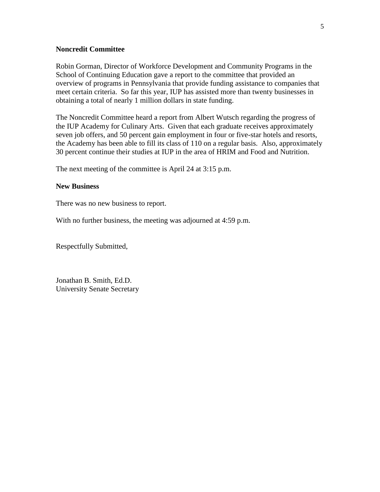#### **Noncredit Committee**

Robin Gorman, Director of Workforce Development and Community Programs in the School of Continuing Education gave a report to the committee that provided an overview of programs in Pennsylvania that provide funding assistance to companies that meet certain criteria. So far this year, IUP has assisted more than twenty businesses in obtaining a total of nearly 1 million dollars in state funding.

The Noncredit Committee heard a report from Albert Wutsch regarding the progress of the IUP Academy for Culinary Arts. Given that each graduate receives approximately seven job offers, and 50 percent gain employment in four or five-star hotels and resorts, the Academy has been able to fill its class of 110 on a regular basis. Also, approximately 30 percent continue their studies at IUP in the area of HRIM and Food and Nutrition.

The next meeting of the committee is April 24 at 3:15 p.m.

#### **New Business**

There was no new business to report.

With no further business, the meeting was adjourned at 4:59 p.m.

Respectfully Submitted,

Jonathan B. Smith, Ed.D. University Senate Secretary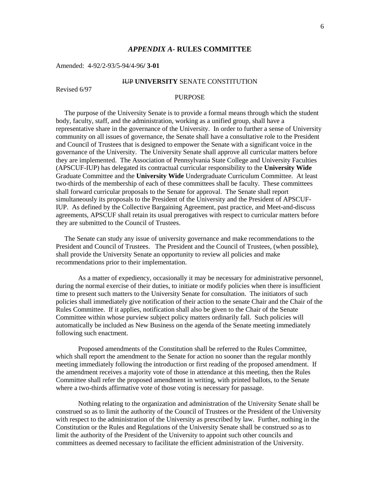#### *APPENDIX A-* **RULES COMMITTEE**

Amended: 4-92/2-93/5-94/4-96**/ 3-01**

#### IUP **UNIVERSITY** SENATE CONSTITUTION

Revised 6/97

#### PURPOSE

 The purpose of the University Senate is to provide a formal means through which the student body, faculty, staff, and the administration, working as a unified group, shall have a representative share in the governance of the University. In order to further a sense of University community on all issues of governance, the Senate shall have a consultative role to the President and Council of Trustees that is designed to empower the Senate with a significant voice in the governance of the University. The University Senate shall approve all curricular matters before they are implemented. The Association of Pennsylvania State College and University Faculties (APSCUF-IUP) has delegated its contractual curricular responsibility to the **University Wide** Graduate Committee and the **University Wide** Undergraduate Curriculum Committee. At least two-thirds of the membership of each of these committees shall be faculty. These committees shall forward curricular proposals to the Senate for approval. The Senate shall report simultaneously its proposals to the President of the University and the President of APSCUF-IUP. As defined by the Collective Bargaining Agreement, past practice, and Meet-and-discuss agreements, APSCUF shall retain its usual prerogatives with respect to curricular matters before they are submitted to the Council of Trustees.

 The Senate can study any issue of university governance and make recommendations to the President and Council of Trustees. The President and the Council of Trustees, (when possible), shall provide the University Senate an opportunity to review all policies and make recommendations prior to their implementation.

As a matter of expediency, occasionally it may be necessary for administrative personnel, during the normal exercise of their duties, to initiate or modify policies when there is insufficient time to present such matters to the University Senate for consultation. The initiators of such policies shall immediately give notification of their action to the senate Chair and the Chair of the Rules Committee. If it applies, notification shall also be given to the Chair of the Senate Committee within whose purview subject policy matters ordinarily fall. Such policies will automatically be included as New Business on the agenda of the Senate meeting immediately following such enactment.

Proposed amendments of the Constitution shall be referred to the Rules Committee, which shall report the amendment to the Senate for action no sooner than the regular monthly meeting immediately following the introduction or first reading of the proposed amendment. If the amendment receives a majority vote of those in attendance at this meeting, then the Rules Committee shall refer the proposed amendment in writing, with printed ballots, to the Senate where a two-thirds affirmative vote of those voting is necessary for passage.

Nothing relating to the organization and administration of the University Senate shall be construed so as to limit the authority of the Council of Trustees or the President of the University with respect to the administration of the University as prescribed by law. Further, nothing in the Constitution or the Rules and Regulations of the University Senate shall be construed so as to limit the authority of the President of the University to appoint such other councils and committees as deemed necessary to facilitate the efficient administration of the University.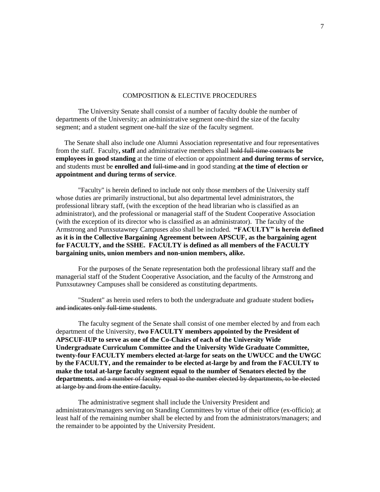#### COMPOSITION & ELECTIVE PROCEDURES

The University Senate shall consist of a number of faculty double the number of departments of the University; an administrative segment one-third the size of the faculty segment; and a student segment one-half the size of the faculty segment.

 The Senate shall also include one Alumni Association representative and four representatives from the staff. Faculty**, staff** and administrative members shall hold full-time contracts **be employees in good standing** at the time of election or appointment **and during terms of service,** and students must be **enrolled and** full-time and in good standing **at the time of election or appointment and during terms of service**.

"Faculty" is herein defined to include not only those members of the University staff whose duties are primarily instructional, but also departmental level administrators, the professional library staff, (with the exception of the head librarian who is classified as an administrator), and the professional or managerial staff of the Student Cooperative Association (with the exception of its director who is classified as an administrator). The faculty of the Armstrong and Punxsutawney Campuses also shall be included. **"FACULTY" is herein defined as it is in the Collective Bargaining Agreement between APSCUF, as the bargaining agent for FACULTY, and the SSHE. FACULTY is defined as all members of the FACULTY bargaining units, union members and non-union members, alike.**

For the purposes of the Senate representation both the professional library staff and the managerial staff of the Student Cooperative Association, and the faculty of the Armstrong and Punxsutawney Campuses shall be considered as constituting departments.

"Student" as herein used refers to both the undergraduate and graduate student bodies, and indicates only full-time students.

The faculty segment of the Senate shall consist of one member elected by and from each department of the University, **two FACULTY members appointed by the President of APSCUF-IUP to serve as one of the Co-Chairs of each of the University Wide Undergraduate Curriculum Committee and the University Wide Graduate Committee, twenty-four FACULTY members elected at-large for seats on the UWUCC and the UWGC by the FACULTY, and the remainder to be elected at-large by and from the FACULTY to make the total at-large faculty segment equal to the number of Senators elected by the departments.** and a number of faculty equal to the number elected by departments, to be elected at large by and from the entire faculty.

The administrative segment shall include the University President and administrators/managers serving on Standing Committees by virtue of their office (ex-officio); at least half of the remaining number shall be elected by and from the administrators/managers; and the remainder to be appointed by the University President.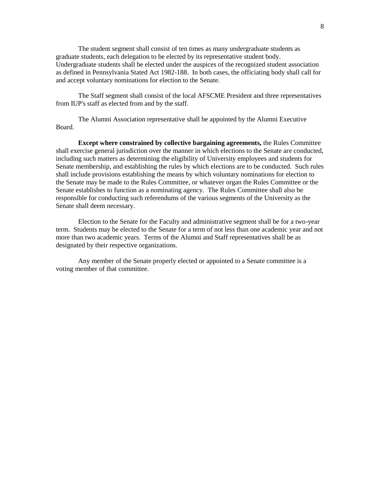The student segment shall consist of ten times as many undergraduate students as graduate students, each delegation to be elected by its representative student body. Undergraduate students shall be elected under the auspices of the recognized student association as defined in Pennsylvania Stated Act 1982-188. In both cases, the officiating body shall call for and accept voluntary nominations for election to the Senate.

The Staff segment shall consist of the local AFSCME President and three representatives from IUP's staff as elected from and by the staff.

The Alumni Association representative shall be appointed by the Alumni Executive Board.

**Except where constrained by collective bargaining agreements,** the Rules Committee shall exercise general jurisdiction over the manner in which elections to the Senate are conducted, including such matters as determining the eligibility of University employees and students for Senate membership, and establishing the rules by which elections are to be conducted. Such rules shall include provisions establishing the means by which voluntary nominations for election to the Senate may be made to the Rules Committee, or whatever organ the Rules Committee or the Senate establishes to function as a nominating agency. The Rules Committee shall also be responsible for conducting such referendums of the various segments of the University as the Senate shall deem necessary.

Election to the Senate for the Faculty and administrative segment shall be for a two-year term. Students may be elected to the Senate for a term of not less than one academic year and not more than two academic years. Terms of the Alumni and Staff representatives shall be as designated by their respective organizations.

Any member of the Senate properly elected or appointed to a Senate committee is a voting member of that committee.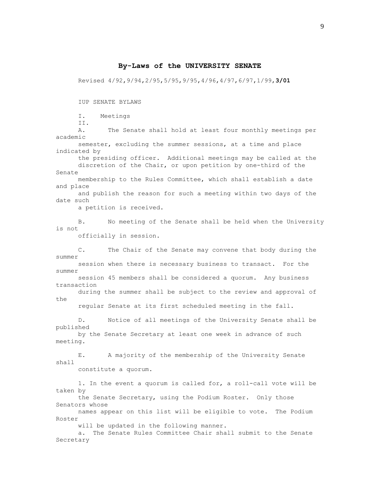#### **By-Laws of the UNIVERSITY SENATE**

Revised 4/92,9/94,2/95,5/95,9/95,4/96,4/97,6/97,1/99,**3/01** 

IUP SENATE BYLAWS

I. Meetings

II.

 A. The Senate shall hold at least four monthly meetings per academic

 semester, excluding the summer sessions, at a time and place indicated by

 the presiding officer. Additional meetings may be called at the discretion of the Chair, or upon petition by one-third of the Senate

 membership to the Rules Committee, which shall establish a date and place

 and publish the reason for such a meeting within two days of the date such

a petition is received.

 B. No meeting of the Senate shall be held when the University is not

officially in session.

 C. The Chair of the Senate may convene that body during the summer session when there is necessary business to transact. For the summer

 session 45 members shall be considered a quorum. Any business transaction

 during the summer shall be subject to the review and approval of the

regular Senate at its first scheduled meeting in the fall.

 D. Notice of all meetings of the University Senate shall be published by the Senate Secretary at least one week in advance of such

meeting.

 E. A majority of the membership of the University Senate shall

constitute a quorum.

1. In the event a quorum is called for, a roll-call vote will be taken by

 the Senate Secretary, using the Podium Roster. Only those Senators whose

 names appear on this list will be eligible to vote. The Podium Roster

will be updated in the following manner.

 a. The Senate Rules Committee Chair shall submit to the Senate Secretary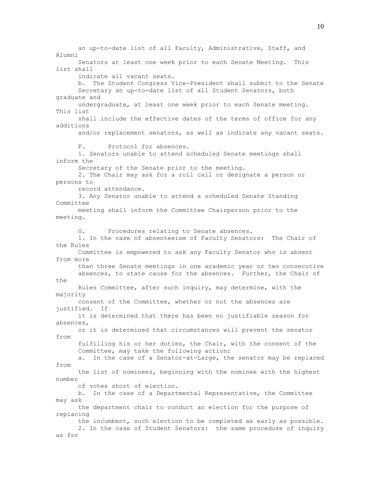an up-to-date list of all Faculty, Administrative, Staff, and Alumni Senators at least one week prior to each Senate Meeting. This list shall indicate all vacant seats. b. The Student Congress Vice-President shall submit to the Senate Secretary an up-to-date list of all Student Senators, both graduate and undergraduate, at least one week prior to each Senate meeting. This list shall include the effective dates of the terms of office for any additions and/or replacement senators, as well as indicate any vacant seats. F. Protocol for absences. 1. Senators unable to attend scheduled Senate meetings shall inform the Secretary of the Senate prior to the meeting. 2. The Chair may ask for a roll call or designate a person or persons to record attendance. 3. Any Senator unable to attend a scheduled Senate Standing Committee meeting shall inform the Committee Chairperson prior to the meeting. G. Procedures relating to Senate absences. 1. In the case of absenteeism of Faculty Senators: The Chair of the Rules Committee is empowered to ask any Faculty Senator who is absent from more than three Senate meetings in one academic year or two consecutive absences, to state cause for the absences. Further, the Chair of the Rules Committee, after such inquiry, may determine, with the majority consent of the Committee, whether or not the absences are justified. If it is determined that there has been no justifiable reason for absences, or it is determined that circumstances will prevent the senator from fulfilling his or her duties, the Chair, with the consent of the Committee, may take the following action: a. In the case of a Senator-at-Large, the senator may be replaced from the list of nominees, beginning with the nominee with the highest number of votes short of election. b. In the case of a Departmental Representative, the Committee may ask the department chair to conduct an election for the purpose of replacing the incumbent, such election to be completed as early as possible. 2. In the case of Student Senators: the same procedure of inquiry as for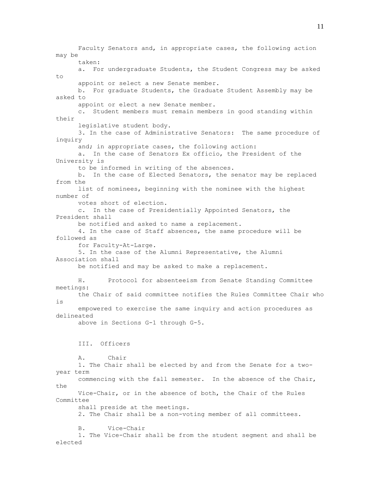Faculty Senators and, in appropriate cases, the following action may be taken: a. For undergraduate Students, the Student Congress may be asked to appoint or select a new Senate member. b. For graduate Students, the Graduate Student Assembly may be asked to appoint or elect a new Senate member. c. Student members must remain members in good standing within their legislative student body. 3. In the case of Administrative Senators: The same procedure of inquiry and; in appropriate cases, the following action: a. In the case of Senators Ex officio, the President of the University is to be informed in writing of the absences. b. In the case of Elected Senators, the senator may be replaced from the list of nominees, beginning with the nominee with the highest number of votes short of election. c. In the case of Presidentially Appointed Senators, the President shall be notified and asked to name a replacement. 4. In the case of Staff absences, the same procedure will be followed as for Faculty-At-Large. 5. In the case of the Alumni Representative, the Alumni Association shall be notified and may be asked to make a replacement. H. Protocol for absenteeism from Senate Standing Committee meetings: the Chair of said committee notifies the Rules Committee Chair who is empowered to exercise the same inquiry and action procedures as delineated above in Sections G-1 through G-5. III. Officers A. Chair 1. The Chair shall be elected by and from the Senate for a twoyear term commencing with the fall semester. In the absence of the Chair, the Vice-Chair, or in the absence of both, the Chair of the Rules Committee shall preside at the meetings. 2. The Chair shall be a non-voting member of all committees. B. Vice-Chair 1. The Vice-Chair shall be from the student segment and shall be elected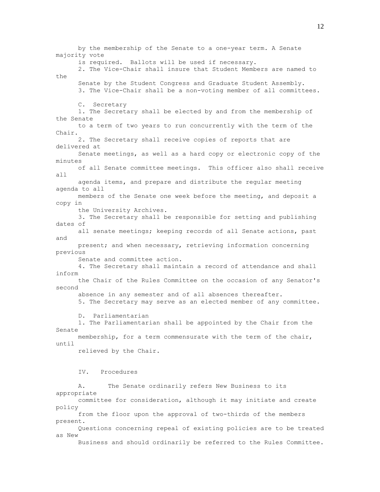by the membership of the Senate to a one-year term. A Senate majority vote is required. Ballots will be used if necessary. 2. The Vice-Chair shall insure that Student Members are named to the Senate by the Student Congress and Graduate Student Assembly. 3. The Vice-Chair shall be a non-voting member of all committees. C. Secretary 1. The Secretary shall be elected by and from the membership of the Senate to a term of two years to run concurrently with the term of the Chair. 2. The Secretary shall receive copies of reports that are delivered at Senate meetings, as well as a hard copy or electronic copy of the minutes of all Senate committee meetings. This officer also shall receive all agenda items, and prepare and distribute the regular meeting agenda to all members of the Senate one week before the meeting, and deposit a copy in the University Archives. 3. The Secretary shall be responsible for setting and publishing dates of all senate meetings; keeping records of all Senate actions, past and present; and when necessary, retrieving information concerning previous Senate and committee action. 4. The Secretary shall maintain a record of attendance and shall inform the Chair of the Rules Committee on the occasion of any Senator's second absence in any semester and of all absences thereafter. 5. The Secretary may serve as an elected member of any committee. D. Parliamentarian 1. The Parliamentarian shall be appointed by the Chair from the Senate membership, for a term commensurate with the term of the chair, until relieved by the Chair. IV. Procedures A. The Senate ordinarily refers New Business to its appropriate committee for consideration, although it may initiate and create policy from the floor upon the approval of two-thirds of the members present. Questions concerning repeal of existing policies are to be treated as New Business and should ordinarily be referred to the Rules Committee.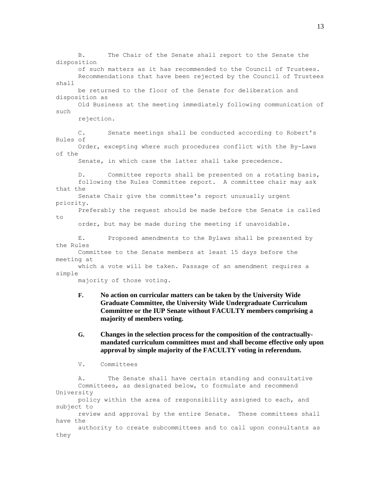B. The Chair of the Senate shall report to the Senate the disposition of such matters as it has recommended to the Council of Trustees. Recommendations that have been rejected by the Council of Trustees shall be returned to the floor of the Senate for deliberation and disposition as Old Business at the meeting immediately following communication of such rejection. C. Senate meetings shall be conducted according to Robert's Rules of Order, excepting where such procedures conflict with the By-Laws of the Senate, in which case the latter shall take precedence. D. Committee reports shall be presented on a rotating basis, following the Rules Committee report. A committee chair may ask that the Senate Chair give the committee's report unusually urgent priority. Preferably the request should be made before the Senate is called to order, but may be made during the meeting if unavoidable. E. Proposed amendments to the Bylaws shall be presented by the Rules Committee to the Senate members at least 15 days before the meeting at which a vote will be taken. Passage of an amendment requires a simple majority of those voting. **F. No action on curricular matters can be taken by the University Wide** 

- **Graduate Committee, the University Wide Undergraduate Curriculum Committee or the IUP Senate without FACULTY members comprising a majority of members voting.**
- **G. Changes in the selection process for the composition of the contractuallymandated curriculum committees must and shall become effective only upon approval by simple majority of the FACULTY voting in referendum.**

V. Committees

 A. The Senate shall have certain standing and consultative Committees, as designated below, to formulate and recommend University policy within the area of responsibility assigned to each, and subject to review and approval by the entire Senate. These committees shall have the authority to create subcommittees and to call upon consultants as they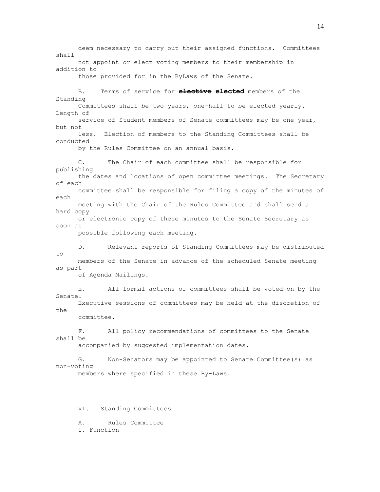deem necessary to carry out their assigned functions. Committees shall not appoint or elect voting members to their membership in addition to those provided for in the ByLaws of the Senate. B. Terms of service for **elective elected** members of the Standing Committees shall be two years, one-half to be elected yearly. Length of service of Student members of Senate committees may be one year, but not less. Election of members to the Standing Committees shall be conducted by the Rules Committee on an annual basis. C. The Chair of each committee shall be responsible for publishing the dates and locations of open committee meetings. The Secretary of each committee shall be responsible for filing a copy of the minutes of each meeting with the Chair of the Rules Committee and shall send a hard copy or electronic copy of these minutes to the Senate Secretary as soon as possible following each meeting. D. Relevant reports of Standing Committees may be distributed to members of the Senate in advance of the scheduled Senate meeting as part of Agenda Mailings. E. All formal actions of committees shall be voted on by the Senate. Executive sessions of committees may be held at the discretion of the committee. F. All policy recommendations of committees to the Senate shall be accompanied by suggested implementation dates. G. Non-Senators may be appointed to Senate Committee(s) as non-voting members where specified in these By-Laws. VI. Standing Committees A. Rules Committee

1. Function

14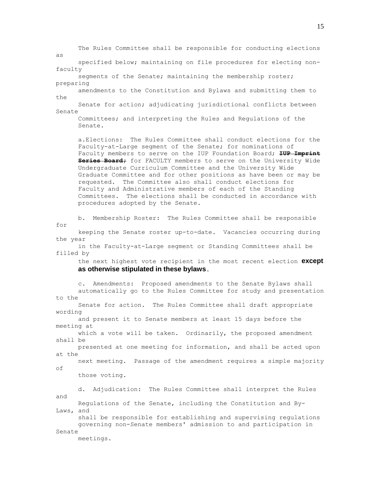The Rules Committee shall be responsible for conducting elections as specified below; maintaining on file procedures for electing nonfaculty segments of the Senate; maintaining the membership roster; preparing amendments to the Constitution and Bylaws and submitting them to the Senate for action; adjudicating jurisdictional conflicts between Senate Committees; and interpreting the Rules and Regulations of the Senate. a.Elections: The Rules Committee shall conduct elections for the Faculty-at-Large segment of the Senate; for nominations of Faculty members to serve on the IUP Foundation Board; **IUP Imprint Series Board;** for FACULTY members to serve on the University Wide Undergraduate Curriculum Committee and the University Wide Graduate Committee and for other positions as have been or may be requested. The Committee also shall conduct elections for Faculty and Administrative members of each of the Standing Committees. The elections shall be conducted in accordance with procedures adopted by the Senate. b. Membership Roster: The Rules Committee shall be responsible for keeping the Senate roster up-to-date. Vacancies occurring during the year in the Faculty-at-Large segment or Standing Committees shall be filled by the next highest vote recipient in the most recent election **except as otherwise stipulated in these bylaws**. c. Amendments: Proposed amendments to the Senate Bylaws shall automatically go to the Rules Committee for study and presentation to the Senate for action. The Rules Committee shall draft appropriate wording and present it to Senate members at least 15 days before the meeting at which a vote will be taken. Ordinarily, the proposed amendment shall be presented at one meeting for information, and shall be acted upon at the next meeting. Passage of the amendment requires a simple majority of those voting. d. Adjudication: The Rules Committee shall interpret the Rules and Regulations of the Senate, including the Constitution and By-Laws, and shall be responsible for establishing and supervising regulations governing non-Senate members' admission to and participation in Senate meetings.

15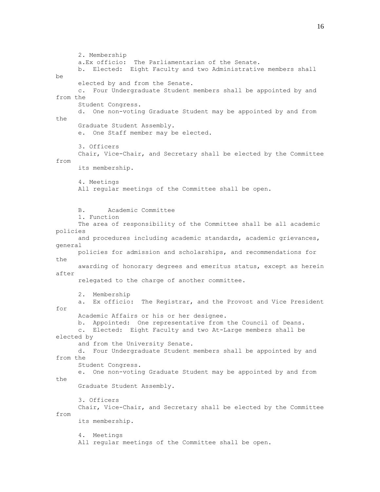2. Membership a.Ex officio: The Parliamentarian of the Senate. b. Elected: Eight Faculty and two Administrative members shall be elected by and from the Senate. c. Four Undergraduate Student members shall be appointed by and from the Student Congress. d. One non-voting Graduate Student may be appointed by and from the Graduate Student Assembly. e. One Staff member may be elected. 3. Officers Chair, Vice-Chair, and Secretary shall be elected by the Committee from its membership. 4. Meetings All regular meetings of the Committee shall be open. B. Academic Committee 1. Function The area of responsibility of the Committee shall be all academic policies and procedures including academic standards, academic grievances, general policies for admission and scholarships, and recommendations for the awarding of honorary degrees and emeritus status, except as herein after relegated to the charge of another committee. 2. Membership a. Ex officio: The Registrar, and the Provost and Vice President for Academic Affairs or his or her designee. b. Appointed: One representative from the Council of Deans. c. Elected: Eight Faculty and two At-Large members shall be elected by and from the University Senate. d. Four Undergraduate Student members shall be appointed by and from the Student Congress. e. One non-voting Graduate Student may be appointed by and from the Graduate Student Assembly. 3. Officers Chair, Vice-Chair, and Secretary shall be elected by the Committee from its membership. 4. Meetings All regular meetings of the Committee shall be open.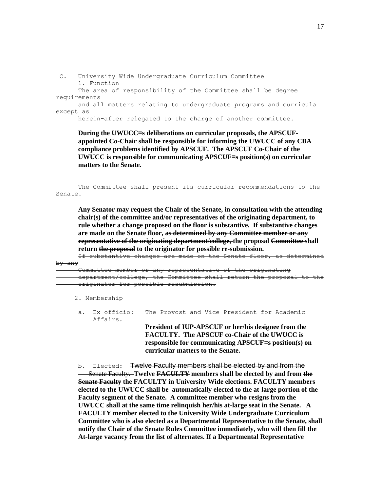C. University Wide Undergraduate Curriculum Committee 1. Function The area of responsibility of the Committee shall be degree requirements and all matters relating to undergraduate programs and curricula except as

herein-after relegated to the charge of another committee.

**During the UWUCC=s deliberations on curricular proposals, the APSCUFappointed Co-Chair shall be responsible for informing the UWUCC of any CBA compliance problems identified by APSCUF. The APSCUF Co-Chair of the UWUCC is responsible for communicating APSCUF=s position(s) on curricular matters to the Senate.**

 The Committee shall present its curricular recommendations to the Senate.

**Any Senator may request the Chair of the Senate, in consultation with the attending chair(s) of the committee and/or representatives of the originating department, to rule whether a change proposed on the floor is substantive. If substantive changes are made on the Senate floor, as determined by any Committee member or any representative of the originating department/college, the proposal Committee shall return the proposal to the originator for possible re-submission.** 

 If substantive changes are made on the Senate floor, as determined by any

or any representative of the originating department/college, the Committee shall return the proposal originator for possible resubmission.

2. Membership

a. Ex officio: The Provost and Vice President for Academic Affairs.

**President of IUP-APSCUF or her/his designee from the FACULTY. The APSCUF co-Chair of the UWUCC is responsible for communicating APSCUF**=**s position(s) on curricular matters to the Senate.** 

b. Elected: Twelve Faculty members shall be elected by and from the Senate Faculty. **Twelve FACULTY members shall be elected by and from the Senate Faculty the FACULTY in University Wide elections. FACULTY members elected to the UWUCC shall be automatically elected to the at-large portion of the Faculty segment of the Senate. A committee member who resigns from the UWUCC shall at the same time relinquish her/his at-large seat in the Senate. A FACULTY member elected to the University Wide Undergraduate Curriculum Committee who is also elected as a Departmental Representative to the Senate, shall notify the Chair of the Senate Rules Committee immediately, who will then fill the At-large vacancy from the list of alternates. If a Departmental Representative**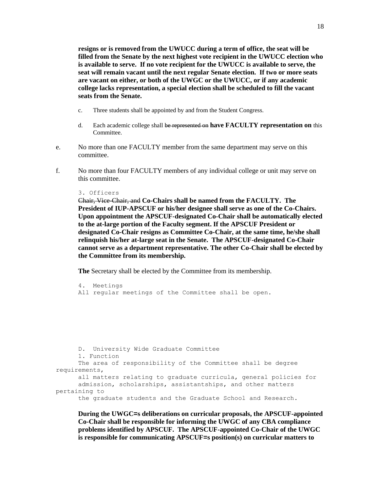18

**resigns or is removed from the UWUCC during a term of office, the seat will be filled from the Senate by the next highest vote recipient in the UWUCC election who is available to serve. If no vote recipient for the UWUCC is available to serve, the seat will remain vacant until the next regular Senate election. If two or more seats are vacant on either, or both of the UWGC or the UWUCC, or if any academic college lacks representation, a special election shall be scheduled to fill the vacant seats from the Senate.**

- c. Three students shall be appointed by and from the Student Congress.
- d. Each academic college shall be represented on **have FACULTY representation on** this Committee.
- e. No more than one FACULTY member from the same department may serve on this committee.
- f. No more than four FACULTY members of any individual college or unit may serve on this committee.

#### 3. Officers

Chair, Vice-Chair, and **Co-Chairs shall be named from the FACULTY. The President of IUP-APSCUF or his/her designee shall serve as one of the Co-Chairs. Upon appointment the APSCUF-designated Co-Chair shall be automatically elected to the at-large portion of the Faculty segment. If the APSCUF President or designated Co-Chair resigns as Committee Co-Chair, at the same time, he/she shall relinquish his/her at-large seat in the Senate. The APSCUF-designated Co-Chair cannot serve as a department representative. The other Co-Chair shall be elected by the Committee from its membership.**

**The** Secretary shall be elected by the Committee from its membership.

 4. Meetings All regular meetings of the Committee shall be open.

```
 D. University Wide Graduate Committee 
       1. Function 
       The area of responsibility of the Committee shall be degree 
requirements, 
       all matters relating to graduate curricula, general policies for 
       admission, scholarships, assistantships, and other matters 
pertaining to 
       the graduate students and the Graduate School and Research.
```
**During the UWGC=s deliberations on curricular proposals, the APSCUF-appointed Co-Chair shall be responsible for informing the UWGC of any CBA compliance problems identified by APSCUF. The APSCUF-appointed Co-Chair of the UWGC is responsible for communicating APSCUF=s position(s) on curricular matters to**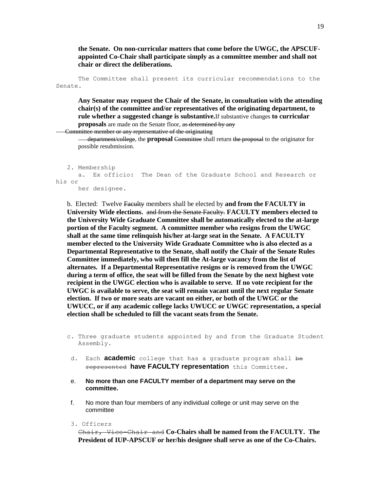**the Senate. On non-curricular matters that come before the UWGC, the APSCUFappointed Co-Chair shall participate simply as a committee member and shall not chair or direct the deliberations.** 

 The Committee shall present its curricular recommendations to the Senate.

**Any Senator may request the Chair of the Senate, in consultation with the attending chair(s) of the committee and/or representatives of the originating department, to rule whether a suggested change is substantive.**If substantive changes **to curricular proposals** are made on the Senate floor, as determined by any

Committee member or any representative of the originating

 department/college, the **proposal** Committee shall return the proposal to the originator for possible resubmission.

```
 2. Membership 
       a. Ex officio: The Dean of the Graduate School and Research or 
his or 
       her designee.
```
b. Elected: Twelve Faculty members shall be elected by **and from the FACULTY in University Wide elections.** and from the Senate Faculty. **FACULTY members elected to the University Wide Graduate Committee shall be automatically elected to the at-large portion of the Faculty segment. A committee member who resigns from the UWGC shall at the same time relinquish his/her at-large seat in the Senate. A FACULTY member elected to the University Wide Graduate Committee who is also elected as a Departmental Representative to the Senate, shall notify the Chair of the Senate Rules Committee immediately, who will then fill the At-large vacancy from the list of alternates. If a Departmental Representative resigns or is removed from the UWGC during a term of office, the seat will be filled from the Senate by the next highest vote recipient in the UWGC election who is available to serve. If no vote recipient for the UWGC is available to serve, the seat will remain vacant until the next regular Senate election. If two or more seats are vacant on either, or both of the UWGC or the UWUCC, or if any academic college lacks UWUCC or UWGC representation, a special election shall be scheduled to fill the vacant seats from the Senate.**

- c. Three graduate students appointed by and from the Graduate Student Assembly.
- d. Each **academic** college that has a graduate program shall be represented **have FACULTY representation** this Committee.
- e. **No more than one FACULTY member of a department may serve on the committee.**
- f. No more than four members of any individual college or unit may serve on the committee
- 3. Officers

Chair, Vice-Chair and **Co-Chairs shall be named from the FACULTY. The President of IUP-APSCUF or her/his designee shall serve as one of the Co-Chairs.**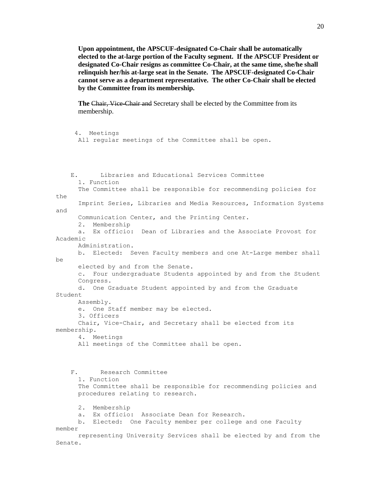**Upon appointment, the APSCUF-designated Co-Chair shall be automatically elected to the at-large portion of the Faculty segment. If the APSCUF President or designated Co-Chair resigns as committee Co-Chair, at the same time, she/he shall relinquish her/his at-large seat in the Senate. The APSCUF-designated Co-Chair cannot serve as a department representative. The other Co-Chair shall be elected by the Committee from its membership.**

**The Chair, Vice-Chair and Secretary shall be elected by the Committee from its** membership.

```
 4. Meetings 
       All regular meetings of the Committee shall be open. 
     E. Libraries and Educational Services Committee 
       1. Function 
       The Committee shall be responsible for recommending policies for 
th\alpha Imprint Series, Libraries and Media Resources, Information Systems
and 
       Communication Center, and the Printing Center. 
       2. Membership 
       a. Ex officio: Dean of Libraries and the Associate Provost for 
Academic 
       Administration. 
       b. Elected: Seven Faculty members and one At-Large member shall 
be 
       elected by and from the Senate. 
       c. Four undergraduate Students appointed by and from the Student 
       Congress. 
       d. One Graduate Student appointed by and from the Graduate 
Student 
       Assembly. 
       e. One Staff member may be elected. 
       3. Officers 
       Chair, Vice-Chair, and Secretary shall be elected from its 
membership. 
       4. Meetings 
       All meetings of the Committee shall be open. 
     F. Research Committee 
       1. Function 
       The Committee shall be responsible for recommending policies and 
       procedures relating to research.
       2. Membership 
       a. Ex officio: Associate Dean for Research. 
       b. Elected: One Faculty member per college and one Faculty 
member 
       representing University Services shall be elected by and from the
Senate.
```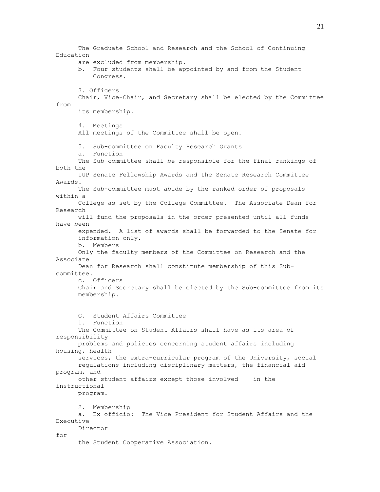The Graduate School and Research and the School of Continuing Education are excluded from membership. b. Four students shall be appointed by and from the Student Congress. 3. Officers Chair, Vice-Chair, and Secretary shall be elected by the Committee from its membership. 4. Meetings All meetings of the Committee shall be open. 5. Sub-committee on Faculty Research Grants a. Function The Sub-committee shall be responsible for the final rankings of both the IUP Senate Fellowship Awards and the Senate Research Committee Awards. The Sub-committee must abide by the ranked order of proposals within a College as set by the College Committee. The Associate Dean for Research will fund the proposals in the order presented until all funds have been expended. A list of awards shall be forwarded to the Senate for information only. b. Members Only the faculty members of the Committee on Research and the Associate Dean for Research shall constitute membership of this Subcommittee. c. Officers Chair and Secretary shall be elected by the Sub-committee from its membership. G. Student Affairs Committee 1. Function The Committee on Student Affairs shall have as its area of responsibility problems and policies concerning student affairs including housing, health services, the extra-curricular program of the University, social regulations including disciplinary matters, the financial aid program, and other student affairs except those involved in the instructional program. 2. Membership a. Ex officio: The Vice President for Student Affairs and the Executive Director for the Student Cooperative Association.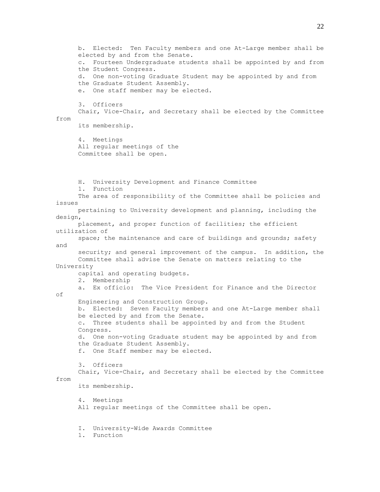b. Elected: Ten Faculty members and one At-Large member shall be elected by and from the Senate. c. Fourteen Undergraduate students shall be appointed by and from the Student Congress. d. One non-voting Graduate Student may be appointed by and from the Graduate Student Assembly. e. One staff member may be elected. 3. Officers Chair, Vice-Chair, and Secretary shall be elected by the Committee from its membership. 4. Meetings All regular meetings of the Committee shall be open. H. University Development and Finance Committee 1. Function The area of responsibility of the Committee shall be policies and issues pertaining to University development and planning, including the design, placement, and proper function of facilities; the efficient utilization of space; the maintenance and care of buildings and grounds; safety and security; and general improvement of the campus. In addition, the Committee shall advise the Senate on matters relating to the University capital and operating budgets. 2. Membership a. Ex officio: The Vice President for Finance and the Director of Engineering and Construction Group. b. Elected: Seven Faculty members and one At-Large member shall be elected by and from the Senate. c. Three students shall be appointed by and from the Student Congress. d. One non-voting Graduate student may be appointed by and from the Graduate Student Assembly. f. One Staff member may be elected. 3. Officers Chair, Vice-Chair, and Secretary shall be elected by the Committee from its membership. 4. Meetings All regular meetings of the Committee shall be open. I. University-Wide Awards Committee 1. Function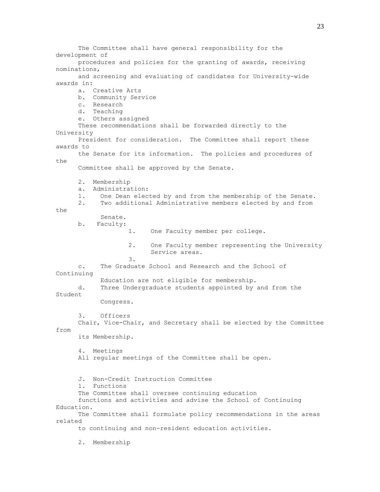The Committee shall have general responsibility for the development of procedures and policies for the granting of awards, receiving nominations, and screening and evaluating of candidates for University-wide awards in: a. Creative Arts b. Community Service c. Research d. Teaching e. Others assigned These recommendations shall be forwarded directly to the University President for consideration. The Committee shall report these awards to the Senate for its information. The policies and procedures of the Committee shall be approved by the Senate. 2. Membership a. Administration: 1. One Dean elected by and from the membership of the Senate. 2. Two additional Administrative members elected by and from the Senate. b. Faculty: 1. One Faculty member per college. 2. One Faculty member representing the University Service areas. 3. c. The Graduate School and Research and the School of Continuing Education are not eligible for membership. d. Three Undergraduate students appointed by and from the Student Congress. 3. Officers Chair, Vice-Chair, and Secretary shall be elected by the Committee from its Membership. 4. Meetings All regular meetings of the Committee shall be open. J. Non-Credit Instruction Committee 1. Functions The Committee shall oversee continuing education functions and activities and advise the School of Continuing Education. The Committee shall formulate policy recommendations in the areas related to continuing and non-resident education activities. 2. Membership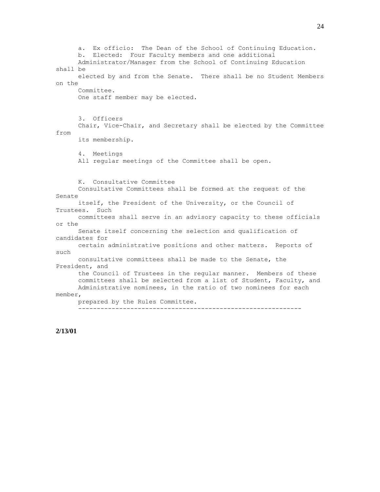a. Ex officio: The Dean of the School of Continuing Education. b. Elected: Four Faculty members and one additional Administrator/Manager from the School of Continuing Education shall be elected by and from the Senate. There shall be no Student Members on the Committee. One staff member may be elected. 3. Officers Chair, Vice-Chair, and Secretary shall be elected by the Committee from its membership. 4. Meetings All regular meetings of the Committee shall be open. K. Consultative Committee Consultative Committees shall be formed at the request of the Senate itself, the President of the University, or the Council of Trustees. Such committees shall serve in an advisory capacity to these officials or the Senate itself concerning the selection and qualification of candidates for certain administrative positions and other matters. Reports of such consultative committees shall be made to the Senate, the President, and the Council of Trustees in the regular manner. Members of these committees shall be selected from a list of Student, Faculty, and Administrative nominees, in the ratio of two nominees for each member, prepared by the Rules Committee. ------------------------------------------------------------

#### **2/13/01**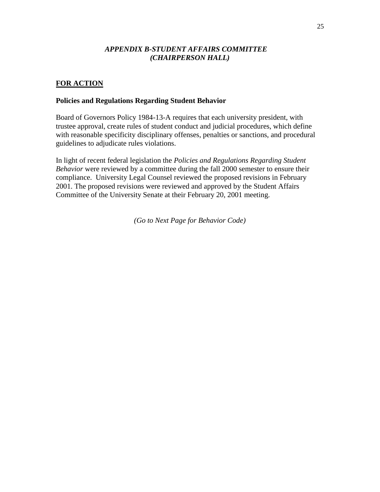# *APPENDIX B-STUDENT AFFAIRS COMMITTEE (CHAIRPERSON HALL)*

# **FOR ACTION**

# **Policies and Regulations Regarding Student Behavior**

Board of Governors Policy 1984-13-A requires that each university president, with trustee approval, create rules of student conduct and judicial procedures, which define with reasonable specificity disciplinary offenses, penalties or sanctions, and procedural guidelines to adjudicate rules violations.

In light of recent federal legislation the *Policies and Regulations Regarding Student Behavior* were reviewed by a committee during the fall 2000 semester to ensure their compliance. University Legal Counsel reviewed the proposed revisions in February 2001. The proposed revisions were reviewed and approved by the Student Affairs Committee of the University Senate at their February 20, 2001 meeting.

*(Go to Next Page for Behavior Code)*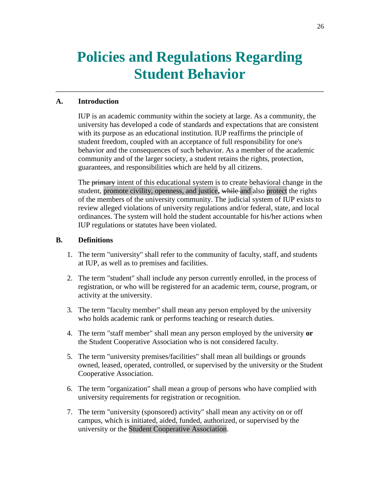# **Policies and Regulations Regarding Student Behavior**

# **A. Introduction**

IUP is an academic community within the society at large. As a community, the university has developed a code of standards and expectations that are consistent with its purpose as an educational institution. IUP reaffirms the principle of student freedom, coupled with an acceptance of full responsibility for one's behavior and the consequences of such behavior. As a member of the academic community and of the larger society, a student retains the rights, protection, guarantees, and responsibilities which are held by all citizens.

The **primary** intent of this educational system is to create behavioral change in the student, promote civility, openness, and justice**,** while and also protect the rights of the members of the university community. The judicial system of IUP exists to review alleged violations of university regulations and/or federal, state, and local ordinances. The system will hold the student accountable for his/her actions when IUP regulations or statutes have been violated.

# **B. Definitions**

- 1. The term "university" shall refer to the community of faculty, staff, and students at IUP, as well as to premises and facilities.
- 2. The term "student" shall include any person currently enrolled, in the process of registration, or who will be registered for an academic term, course, program, or activity at the university.
- 3. The term "faculty member" shall mean any person employed by the university who holds academic rank or performs teaching or research duties.
- 4. The term "staff member" shall mean any person employed by the university **or** the Student Cooperative Association who is not considered faculty.
- 5. The term "university premises/facilities" shall mean all buildings or grounds owned, leased, operated, controlled, or supervised by the university or the Student Cooperative Association.
- 6. The term "organization" shall mean a group of persons who have complied with university requirements for registration or recognition.
- 7. The term "university (sponsored) activity" shall mean any activity on or off campus, which is initiated, aided, funded, authorized, or supervised by the university or the Student Cooperative Association.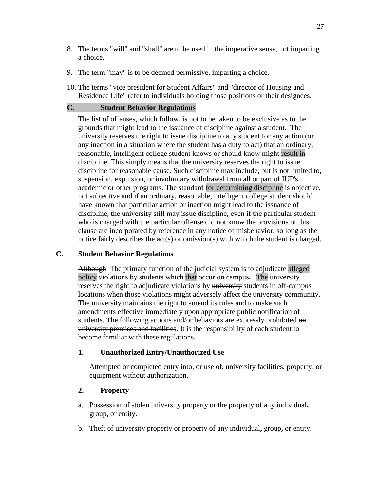- 8. The terms "will" and "shall" are to be used in the imperative sense, not imparting a choice.
- 9. The term "may" is to be deemed permissive, imparting a choice.
- 10. The terms "vice president for Student Affairs" and "director of Housing and Residence Life" refer to individuals holding those positions or their designees.

#### **C. Student Behavior Regulations**

The list of offenses, which follow, is not to be taken to be exclusive as to the grounds that might lead to the issuance of discipline against a student. The university reserves the right to issue discipline to any student for any action (or any inaction in a situation where the student has a duty to act) that an ordinary, reasonable, intelligent college student knows or should know might result in discipline. This simply means that the university reserves the right to issue discipline for reasonable cause. Such discipline may include, but is not limited to, suspension, expulsion, or involuntary withdrawal from all or part of IUP's academic or other programs. The standard for determining discipline is objective, not subjective and if an ordinary, reasonable, intelligent college student should have known that particular action or inaction might lead to the issuance of discipline, the university still may issue discipline, even if the particular student who is charged with the particular offense did not know the provisions of this clause are incorporated by reference in any notice of misbehavior, so long as the notice fairly describes the act(s) or omission(s) with which the student is charged.

#### **C. Student Behavior Regulations**

Although The primary function of the judicial system is to adjudicate alleged policy violations by students which that occur on campus**.** The university reserves the right to adjudicate violations by university students in off-campus locations when those violations might adversely affect the university community. The university maintains the right to amend its rules and to make such amendments effective immediately upon appropriate public notification of students. The following actions and/or behaviors are expressly prohibited on university premises and facilities. It is the responsibility of each student to become familiar with these regulations.

#### **1. Unauthorized Entry/Unauthorized Use**

Attempted or completed entry into, or use of, university facilities, property, or equipment without authorization.

#### **2. Property**

- a. Possession of stolen university property or the property of any individual**,** group**,** or entity.
- b. Theft of university property or property of any individual**,** group**,** or entity.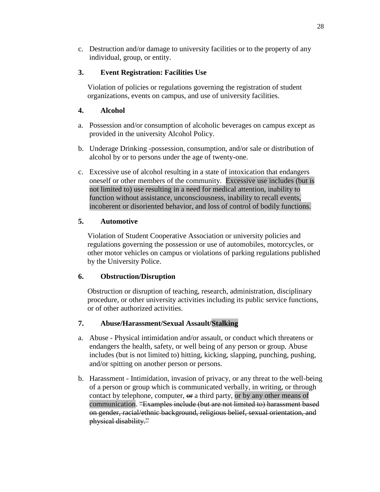c. Destruction and/or damage to university facilities or to the property of any individual, group, or entity.

# **3. Event Registration: Facilities Use**

Violation of policies or regulations governing the registration of student organizations, events on campus, and use of university facilities.

# **4. Alcohol**

- a. Possession and/or consumption of alcoholic beverages on campus except as provided in the university Alcohol Policy.
- b. Underage Drinking -possession, consumption, and/or sale or distribution of alcohol by or to persons under the age of twenty-one.
- c. Excessive use of alcohol resulting in a state of intoxication that endangers oneself or other members of the community. Excessive use includes (but is not limited to) use resulting in a need for medical attention, inability to function without assistance, unconsciousness, inability to recall events, incoherent or disoriented behavior, and loss of control of bodily functions.

# **5. Automotive**

Violation of Student Cooperative Association or university policies and regulations governing the possession or use of automobiles, motorcycles, or other motor vehicles on campus or violations of parking regulations published by the University Police.

# **6. Obstruction/Disruption**

Obstruction or disruption of teaching, research, administration, disciplinary procedure, or other university activities including its public service functions, or of other authorized activities.

# **7. Abuse/Harassment/Sexual Assault/Stalking**

- a. Abuse Physical intimidation and/or assault, or conduct which threatens or endangers the health, safety, or well being of any person or group. Abuse includes (but is not limited to) hitting, kicking, slapping, punching, pushing, and/or spitting on another person or persons.
- b. Harassment Intimidation, invasion of privacy, or any threat to the well-being of a person or group which is communicated verbally, in writing, or through contact by telephone, computer,  $\Theta$  a third party, or by any other means of communication. "Examples include (but are not limited to) harassment based on gender, racial/ethnic background, religious belief, sexual orientation, and physical disability."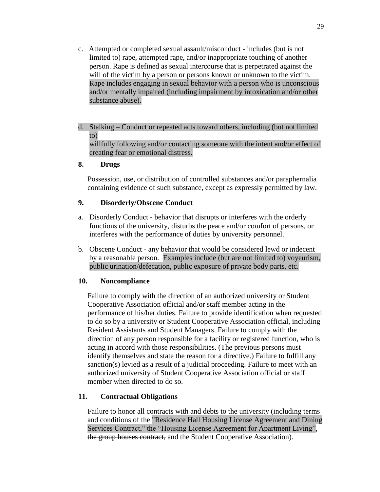- c. Attempted or completed sexual assault/misconduct includes (but is not limited to) rape, attempted rape, and/or inappropriate touching of another person. Rape is defined as sexual intercourse that is perpetrated against the will of the victim by a person or persons known or unknown to the victim. Rape includes engaging in sexual behavior with a person who is unconscious and/or mentally impaired (including impairment by intoxication and/or other substance abuse).
- d. Stalking Conduct or repeated acts toward others, including (but not limited to)

willfully following and/or contacting someone with the intent and/or effect of creating fear or emotional distress.

#### **8. Drugs**

Possession, use, or distribution of controlled substances and/or paraphernalia containing evidence of such substance, except as expressly permitted by law.

### **9. Disorderly/Obscene Conduct**

- a. Disorderly Conduct behavior that disrupts or interferes with the orderly functions of the university, disturbs the peace and/or comfort of persons, or interferes with the performance of duties by university personnel.
- b. Obscene Conduct any behavior that would be considered lewd or indecent by a reasonable person. Examples include (but are not limited to) voyeurism, public urination/defecation, public exposure of private body parts, etc.

# **10. Noncompliance**

Failure to comply with the direction of an authorized university or Student Cooperative Association official and/or staff member acting in the performance of his/her duties. Failure to provide identification when requested to do so by a university or Student Cooperative Association official, including Resident Assistants and Student Managers. Failure to comply with the direction of any person responsible for a facility or registered function, who is acting in accord with those responsibilities. (The previous persons must identify themselves and state the reason for a directive.) Failure to fulfill any sanction(s) levied as a result of a judicial proceeding. Failure to meet with an authorized university of Student Cooperative Association official or staff member when directed to do so.

# **11. Contractual Obligations**

Failure to honor all contracts with and debts to the university (including terms and conditions of the "Residence Hall Housing License Agreement and Dining Services Contract," the "Housing License Agreement for Apartment Living", the group houses contract, and the Student Cooperative Association).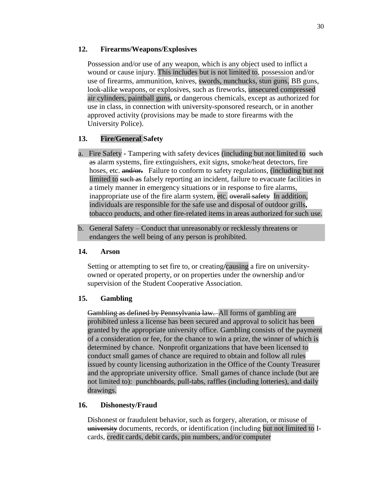# **12. Firearms/Weapons/Explosives**

Possession and/or use of any weapon, which is any object used to inflict a wound or cause injury. This includes but is not limited to, possession and/or use of firearms, ammunition, knives, swords, nunchucks, stun guns, BB guns, look-alike weapons, or explosives, such as fireworks, unsecured compressed air cylinders, paintball guns**,** or dangerous chemicals, except as authorized for use in class, in connection with university-sponsored research, or in another approved activity (provisions may be made to store firearms with the University Police).

# **13. Fire/General Safety**

- a. Fire Safety **-** Tampering with safety devices (including but not limited to such as alarm systems, fire extinguishers, exit signs, smoke/heat detectors, fire hoses, etc. and/or. Failure to conform to safety regulations, (including but not limited to such as falsely reporting an incident, failure to evacuate facilities in a timely manner in emergency situations or in response to fire alarms, inappropriate use of the fire alarm system, etc. overall safetyIn addition, individuals are responsible for the safe use and disposal of outdoor grills**,**  tobacco products, and other fire-related items in areas authorized for such use.
- b. General Safety Conduct that unreasonably or recklessly threatens or endangers the well being of any person is prohibited.

# **14. Arson**

Setting or attempting to set fire to, or creating**/**causing a fire on universityowned or operated property, or on properties under the ownership and/or supervision of the Student Cooperative Association.

# **15. Gambling**

Gambling as defined by Pennsylvania law. All forms of gambling are prohibited unless a license has been secured and approval to solicit has been granted by the appropriate university office. Gambling consists of the payment of a consideration or fee, for the chance to win a prize, the winner of which is determined by chance. Nonprofit organizations that have been licensed to conduct small games of chance are required to obtain and follow all rules issued by county licensing authorization in the Office of the County Treasurer and the appropriate university office. Small games of chance include (but are not limited to): punchboards, pull-tabs, raffles (including lotteries), and daily drawings.

# **16. Dishonesty/Fraud**

Dishonest or fraudulent behavior, such as forgery, alteration, or misuse of university documents, records, or identification (including but not limited to Icards, credit cards, debit cards, pin numbers, and/or computer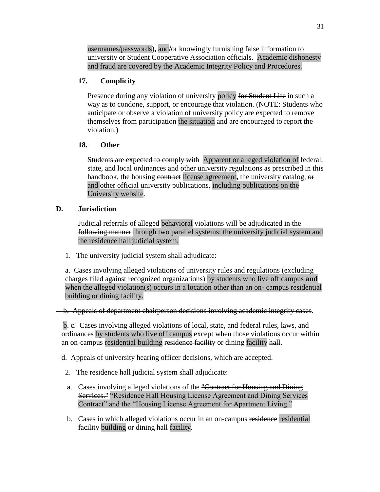usernames/passwords)**,** and**/**or knowingly furnishing false information to university or Student Cooperative Association officials. Academic dishonesty and fraud are covered by the Academic Integrity Policy and Procedures.

# **17. Complicity**

Presence during any violation of university policy for Student Life in such a way as to condone, support, or encourage that violation. (NOTE: Students who anticipate or observe a violation of university policy are expected to remove themselves from participation the situation and are encouraged to report the violation.)

# **18. Other**

Students are expected to comply withApparent or alleged violation of federal, state, and local ordinances and other university regulations as prescribed in this handbook, the housing contract license agreement, the university catalog, or and other official university publications, including publications on the University website.

# **D. Jurisdiction**

Judicial referrals of alleged behavioral violations will be adjudicated in the following manner through two parallel systems: the university judicial system and the residence hall judicial system.

1. The university judicial system shall adjudicate:

a. Cases involving alleged violations of university rules and regulations (excluding charges filed against recognized organizations) by students who live off campus **and** when the alleged violation(s) occurs in a location other than an on- campus residential building or dining facility.

b. Appeals of department chairperson decisions involving academic integrity cases.

b. c. Cases involving alleged violations of local, state, and federal rules, laws, and ordinances by students who live off campus except when those violations occur within an on-campus residential building residence facility or dining facility hall.

d. Appeals of university hearing officer decisions, which are accepted.

- 2. The residence hall judicial system shall adjudicate:
- a. Cases involving alleged violations of the "Contract for Housing and Dining Services." "Residence Hall Housing License Agreement and Dining Services Contract" and the "Housing License Agreement for Apartment Living."
- b. Cases in which alleged violations occur in an on-campus residence residential facility building or dining hall facility.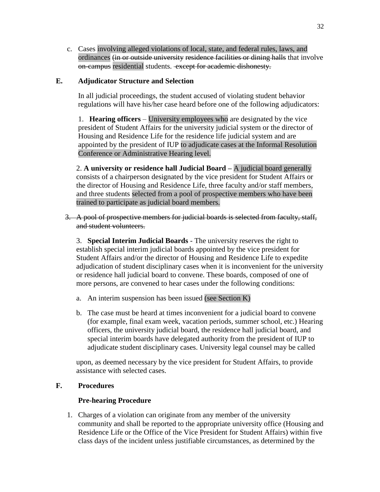c. Cases involving alleged violations of local, state, and federal rules, laws, and ordinances (in or outside university residence facilities or dining halls that involve on-campus residential students. except for academic dishonesty.

# **E. Adjudicator Structure and Selection**

In all judicial proceedings, the student accused of violating student behavior regulations will have his/her case heard before one of the following adjudicators:

1. **Hearing officers** – University employees who are designated by the vice president of Student Affairs for the university judicial system or the director of Housing and Residence Life for the residence life judicial system and are appointed by the president of IUP to adjudicate cases at the Informal Resolution Conference or Administrative Hearing level.

2. **A university or residence hall Judicial Board –** A judicial board generally consists of a chairperson designated by the vice president for Student Affairs or the director of Housing and Residence Life, three faculty and/or staff members, and three students selected from a pool of prospective members who have been trained to participate as judicial board members.

3. A pool of prospective members for judicial boards is selected from faculty, staff, and student volunteers.

3. **Special Interim Judicial Boards** - The university reserves the right to establish special interim judicial boards appointed by the vice president for Student Affairs and/or the director of Housing and Residence Life to expedite adjudication of student disciplinary cases when it is inconvenient for the university or residence hall judicial board to convene. These boards, composed of one of more persons, are convened to hear cases under the following conditions:

- a. An interim suspension has been issued (see Section K)
- b. The case must be heard at times inconvenient for a judicial board to convene (for example, final exam week, vacation periods, summer school, etc.) Hearing officers, the university judicial board, the residence hall judicial board, and special interim boards have delegated authority from the president of IUP to adjudicate student disciplinary cases. University legal counsel may be called

upon, as deemed necessary by the vice president for Student Affairs, to provide assistance with selected cases.

# **F. Procedures**

# **Pre-hearing Procedure**

1. Charges of a violation can originate from any member of the university community and shall be reported to the appropriate university office (Housing and Residence Life or the Office of the Vice President for Student Affairs) within five class days of the incident unless justifiable circumstances, as determined by the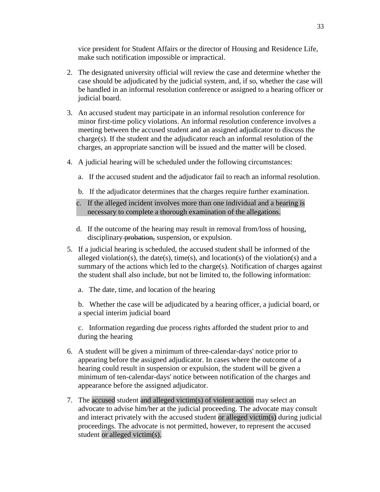vice president for Student Affairs or the director of Housing and Residence Life, make such notification impossible or impractical.

- 2. The designated university official will review the case and determine whether the case should be adjudicated by the judicial system, and, if so, whether the case will be handled in an informal resolution conference or assigned to a hearing officer or judicial board.
- 3. An accused student may participate in an informal resolution conference for minor first-time policy violations. An informal resolution conference involves a meeting between the accused student and an assigned adjudicator to discuss the  $charge(s)$ . If the student and the adjudicator reach an informal resolution of the charges, an appropriate sanction will be issued and the matter will be closed.
- 4. A judicial hearing will be scheduled under the following circumstances:
	- a. If the accused student and the adjudicator fail to reach an informal resolution.
	- b. If the adjudicator determines that the charges require further examination.
	- c. If the alleged incident involves more than one individual and a hearing is necessary to complete a thorough examination of the allegations.
	- d. If the outcome of the hearing may result in removal from/loss of housing, disciplinary probation, suspension, or expulsion.
- 5. If a judicial hearing is scheduled, the accused student shall be informed of the alleged violation(s), the date(s), time(s), and location(s) of the violation(s) and a summary of the actions which led to the charge(s). Notification of charges against the student shall also include, but not be limited to, the following information:
	- a. The date, time, and location of the hearing

b. Whether the case will be adjudicated by a hearing officer, a judicial board, or a special interim judicial board

c. Information regarding due process rights afforded the student prior to and during the hearing

- 6. A student will be given a minimum of three-calendar-days' notice prior to appearing before the assigned adjudicator. In cases where the outcome of a hearing could result in suspension or expulsion, the student will be given a minimum of ten-calendar-days' notice between notification of the charges and appearance before the assigned adjudicator.
- 7. The accused student and alleged victim(s) of violent action may select an advocate to advise him/her at the judicial proceeding. The advocate may consult and interact privately with the accused student or alleged victim(s) during judicial proceedings. The advocate is not permitted, however, to represent the accused student or alleged victim(s).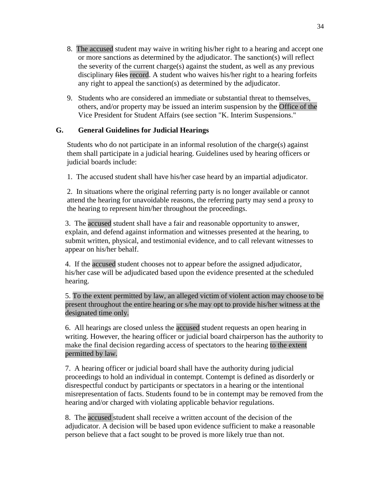- 8. The accused student may waive in writing his/her right to a hearing and accept one or more sanctions as determined by the adjudicator. The sanction(s) will reflect the severity of the current charge(s) against the student, as well as any previous disciplinary files record. A student who waives his/her right to a hearing forfeits any right to appeal the sanction(s) as determined by the adjudicator.
- 9. Students who are considered an immediate or substantial threat to themselves, others, and/or property may be issued an interim suspension by the Office of the Vice President for Student Affairs (see section "K. Interim Suspensions."

# **G. General Guidelines for Judicial Hearings**

Students who do not participate in an informal resolution of the charge(s) against them shall participate in a judicial hearing. Guidelines used by hearing officers or judicial boards include:

1. The accused student shall have his/her case heard by an impartial adjudicator.

2. In situations where the original referring party is no longer available or cannot attend the hearing for unavoidable reasons, the referring party may send a proxy to the hearing to represent him/her throughout the proceedings.

3. The accused student shall have a fair and reasonable opportunity to answer, explain, and defend against information and witnesses presented at the hearing, to submit written, physical, and testimonial evidence, and to call relevant witnesses to appear on his/her behalf.

4. If the accused student chooses not to appear before the assigned adjudicator, his/her case will be adjudicated based upon the evidence presented at the scheduled hearing.

5. To the extent permitted by law, an alleged victim of violent action may choose to be present throughout the entire hearing or s/he may opt to provide his/her witness at the designated time only.

6. All hearings are closed unless the accused student requests an open hearing in writing. However, the hearing officer or judicial board chairperson has the authority to make the final decision regarding access of spectators to the hearing to the extent permitted by law.

7. A hearing officer or judicial board shall have the authority during judicial proceedings to hold an individual in contempt. Contempt is defined as disorderly or disrespectful conduct by participants or spectators in a hearing or the intentional misrepresentation of facts. Students found to be in contempt may be removed from the hearing and/or charged with violating applicable behavior regulations.

8. The accused student shall receive a written account of the decision of the adjudicator. A decision will be based upon evidence sufficient to make a reasonable person believe that a fact sought to be proved is more likely true than not.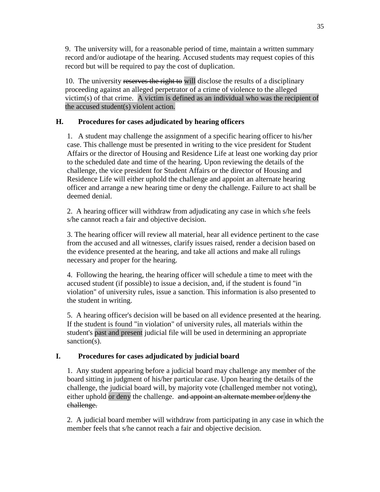9. The university will, for a reasonable period of time, maintain a written summary record and/or audiotape of the hearing. Accused students may request copies of this record but will be required to pay the cost of duplication.

10. The university reserves the right to will disclose the results of a disciplinary proceeding against an alleged perpetrator of a crime of violence to the alleged victim(s) of that crime. A victim is defined as an individual who was the recipient of the accused student(s) violent action.

# **H. Procedures for cases adjudicated by hearing officers**

1. A student may challenge the assignment of a specific hearing officer to his/her case. This challenge must be presented in writing to the vice president for Student Affairs or the director of Housing and Residence Life at least one working day prior to the scheduled date and time of the hearing. Upon reviewing the details of the challenge, the vice president for Student Affairs or the director of Housing and Residence Life will either uphold the challenge and appoint an alternate hearing officer and arrange a new hearing time or deny the challenge. Failure to act shall be deemed denial.

2. A hearing officer will withdraw from adjudicating any case in which s/he feels s/he cannot reach a fair and objective decision.

3. The hearing officer will review all material, hear all evidence pertinent to the case from the accused and all witnesses, clarify issues raised, render a decision based on the evidence presented at the hearing, and take all actions and make all rulings necessary and proper for the hearing.

4. Following the hearing, the hearing officer will schedule a time to meet with the accused student (if possible) to issue a decision, and, if the student is found "in violation" of university rules, issue a sanction. This information is also presented to the student in writing.

5. A hearing officer's decision will be based on all evidence presented at the hearing. If the student is found "in violation" of university rules, all materials within the student's past and present judicial file will be used in determining an appropriate sanction(s).

# **I. Procedures for cases adjudicated by judicial board**

1. Any student appearing before a judicial board may challenge any member of the board sitting in judgment of his/her particular case. Upon hearing the details of the challenge, the judicial board will, by majority vote (challenged member not voting), either uphold or deny the challenge. and appoint an alternate member or deny the challenge.

2. A judicial board member will withdraw from participating in any case in which the member feels that s/he cannot reach a fair and objective decision.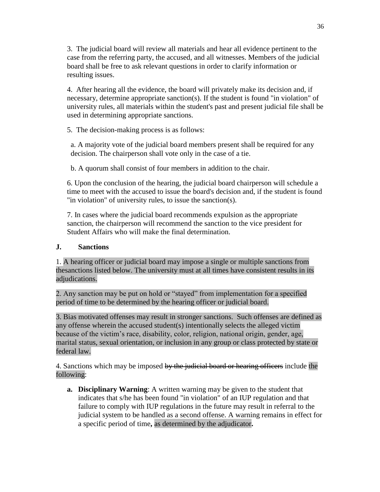3. The judicial board will review all materials and hear all evidence pertinent to the case from the referring party, the accused, and all witnesses. Members of the judicial board shall be free to ask relevant questions in order to clarify information or resulting issues.

4. After hearing all the evidence, the board will privately make its decision and, if necessary, determine appropriate sanction(s). If the student is found "in violation" of university rules, all materials within the student's past and present judicial file shall be used in determining appropriate sanctions.

5. The decision-making process is as follows:

a. A majority vote of the judicial board members present shall be required for any decision. The chairperson shall vote only in the case of a tie.

b. A quorum shall consist of four members in addition to the chair.

6. Upon the conclusion of the hearing, the judicial board chairperson will schedule a time to meet with the accused to issue the board's decision and, if the student is found "in violation" of university rules, to issue the sanction(s).

7. In cases where the judicial board recommends expulsion as the appropriate sanction, the chairperson will recommend the sanction to the vice president for Student Affairs who will make the final determination.

# **J. Sanctions**

1. A hearing officer or judicial board may impose a single or multiple sanctions from thesanctions listed below. The university must at all times have consistent results in its adjudications.

2. Any sanction may be put on hold or "stayed" from implementation for a specified period of time to be determined by the hearing officer or judicial board.

3. Bias motivated offenses may result in stronger sanctions. Such offenses are defined as any offense wherein the accused student(s) intentionally selects the alleged victim because of the victim's race, disability, color, religion, national origin, gender, age, marital status, sexual orientation, or inclusion in any group or class protected by state or federal law.

4. Sanctions which may be imposed by the judicial board or hearing officers include the following:

**a. Disciplinary Warning**: A written warning may be given to the student that indicates that s/he has been found "in violation" of an IUP regulation and that failure to comply with IUP regulations in the future may result in referral to the judicial system to be handled as a second offense. A warning remains in effect for a specific period of time**,** as determined by the adjudicator**.**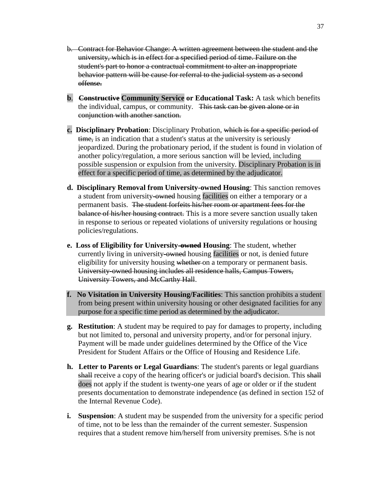- b. Contract for Behavior Change: A written agreement between the student and the university, which is in effect for a specified period of time. Failure on the student's part to honor a contractual commitment to alter an inappropriate behavior pattern will be cause for referral to the judicial system as a second offense.
- **b**. **Constructive Community Service or Educational Task:** A task which benefits the individual, campus, or community. This task can be given alone or in conjunction with another sanction.
- **c. Disciplinary Probation**: Disciplinary Probation, which is for a specific period of time, is an indication that a student's status at the university is seriously jeopardized. During the probationary period, if the student is found in violation of another policy/regulation, a more serious sanction will be levied, including possible suspension or expulsion from the university. Disciplinary Probation is in effect for a specific period of time, as determined by the adjudicator.
- **d. Disciplinary Removal from University-owned Housing**: This sanction removes a student from university-owned housing facilities on either a temporary or a permanent basis. The student forfeits his/her room or apartment fees for the balance of his/her housing contract. This is a more severe sanction usually taken in response to serious or repeated violations of university regulations or housing policies/regulations.
- **e. Loss of Eligibility for University-owned Housing**: The student, whether currently living in university-owned housing facilities or not, is denied future eligibility for university housing whether on a temporary or permanent basis. University-owned housing includes all residence halls, Campus Towers, University Towers, and McCarthy Hall.
- **f. No Visitation in University Housing/Facilities**: This sanction prohibits a student from being present within university housing or other designated facilities for any purpose for a specific time period as determined by the adjudicator.
- **g. Restitution**: A student may be required to pay for damages to property, including but not limited to, personal and university property, and/or for personal injury. Payment will be made under guidelines determined by the Office of the Vice President for Student Affairs or the Office of Housing and Residence Life.
- **h. Letter to Parents or Legal Guardians**: The student's parents or legal guardians shall receive a copy of the hearing officer's or judicial board's decision. This shall does not apply if the student is twenty-one years of age or older or if the student presents documentation to demonstrate independence (as defined in section 152 of the Internal Revenue Code).
- **i. Suspension**: A student may be suspended from the university for a specific period of time, not to be less than the remainder of the current semester. Suspension requires that a student remove him/herself from university premises. S/he is not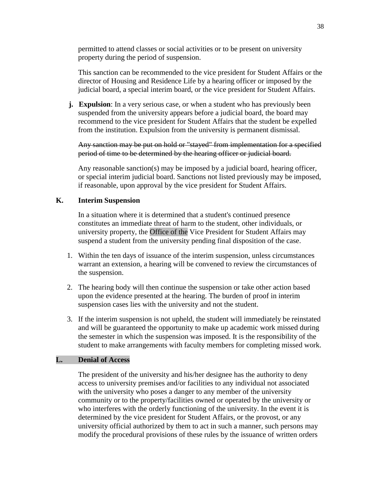permitted to attend classes or social activities or to be present on university property during the period of suspension.

This sanction can be recommended to the vice president for Student Affairs or the director of Housing and Residence Life by a hearing officer or imposed by the judicial board, a special interim board, or the vice president for Student Affairs.

**j.** Expulsion: In a very serious case, or when a student who has previously been suspended from the university appears before a judicial board, the board may recommend to the vice president for Student Affairs that the student be expelled from the institution. Expulsion from the university is permanent dismissal.

Any sanction may be put on hold or "stayed" from implementation for a specified period of time to be determined by the hearing officer or judicial board.

Any reasonable sanction(s) may be imposed by a judicial board, hearing officer, or special interim judicial board. Sanctions not listed previously may be imposed, if reasonable, upon approval by the vice president for Student Affairs.

### **K. Interim Suspension**

In a situation where it is determined that a student's continued presence constitutes an immediate threat of harm to the student, other individuals, or university property, the Office of the Vice President for Student Affairs may suspend a student from the university pending final disposition of the case.

- 1. Within the ten days of issuance of the interim suspension, unless circumstances warrant an extension, a hearing will be convened to review the circumstances of the suspension.
- 2. The hearing body will then continue the suspension or take other action based upon the evidence presented at the hearing. The burden of proof in interim suspension cases lies with the university and not the student.
- 3. If the interim suspension is not upheld, the student will immediately be reinstated and will be guaranteed the opportunity to make up academic work missed during the semester in which the suspension was imposed. It is the responsibility of the student to make arrangements with faculty members for completing missed work.

### **L. Denial of Access**

The president of the university and his/her designee has the authority to deny access to university premises and/or facilities to any individual not associated with the university who poses a danger to any member of the university community or to the property/facilities owned or operated by the university or who interferes with the orderly functioning of the university. In the event it is determined by the vice president for Student Affairs, or the provost, or any university official authorized by them to act in such a manner, such persons may modify the procedural provisions of these rules by the issuance of written orders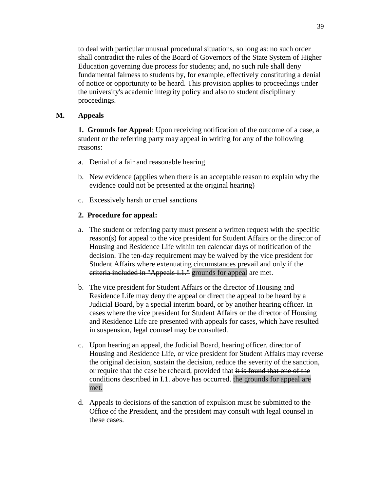to deal with particular unusual procedural situations, so long as: no such order shall contradict the rules of the Board of Governors of the State System of Higher Education governing due process for students; and, no such rule shall deny fundamental fairness to students by, for example, effectively constituting a denial of notice or opportunity to be heard. This provision applies to proceedings under the university's academic integrity policy and also to student disciplinary proceedings.

# **M. Appeals**

**1. Grounds for Appeal**: Upon receiving notification of the outcome of a case, a student or the referring party may appeal in writing for any of the following reasons:

- a. Denial of a fair and reasonable hearing
- b. New evidence (applies when there is an acceptable reason to explain why the evidence could not be presented at the original hearing)
- c. Excessively harsh or cruel sanctions

# **2. Procedure for appeal:**

- a. The student or referring party must present a written request with the specific reason(s) for appeal to the vice president for Student Affairs or the director of Housing and Residence Life within ten calendar days of notification of the decision. The ten-day requirement may be waived by the vice president for Student Affairs where extenuating circumstances prevail and only if the eriteria included in "Appeals I.1." grounds for appeal are met.
- b. The vice president for Student Affairs or the director of Housing and Residence Life may deny the appeal or direct the appeal to be heard by a Judicial Board, by a special interim board, or by another hearing officer. In cases where the vice president for Student Affairs or the director of Housing and Residence Life are presented with appeals for cases, which have resulted in suspension, legal counsel may be consulted.
- c. Upon hearing an appeal, the Judicial Board, hearing officer, director of Housing and Residence Life, or vice president for Student Affairs may reverse the original decision, sustain the decision, reduce the severity of the sanction, or require that the case be reheard, provided that it is found that one of the conditions described in I.1. above has occurred. the grounds for appeal are met.
- d. Appeals to decisions of the sanction of expulsion must be submitted to the Office of the President, and the president may consult with legal counsel in these cases.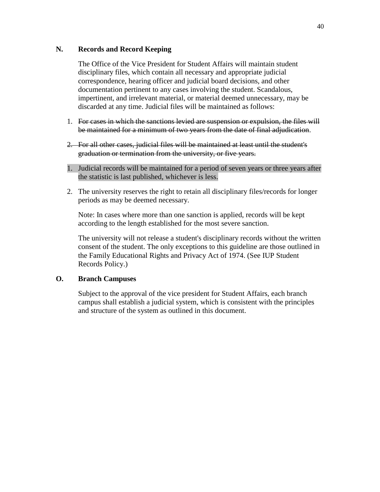# **N. Records and Record Keeping**

The Office of the Vice President for Student Affairs will maintain student disciplinary files, which contain all necessary and appropriate judicial correspondence, hearing officer and judicial board decisions, and other documentation pertinent to any cases involving the student. Scandalous, impertinent, and irrelevant material, or material deemed unnecessary, may be discarded at any time. Judicial files will be maintained as follows:

- 1. For cases in which the sanctions levied are suspension or expulsion, the files will be maintained for a minimum of two years from the date of final adjudication.
- 2. For all other cases, judicial files will be maintained at least until the student's graduation or termination from the university, or five years.
- 1. Judicial records will be maintained for a period of seven years or three years after the statistic is last published, whichever is less.
- 2. The university reserves the right to retain all disciplinary files/records for longer periods as may be deemed necessary.

Note: In cases where more than one sanction is applied, records will be kept according to the length established for the most severe sanction.

The university will not release a student's disciplinary records without the written consent of the student. The only exceptions to this guideline are those outlined in the Family Educational Rights and Privacy Act of 1974. (See IUP Student Records Policy.)

# **O. Branch Campuses**

Subject to the approval of the vice president for Student Affairs, each branch campus shall establish a judicial system, which is consistent with the principles and structure of the system as outlined in this document.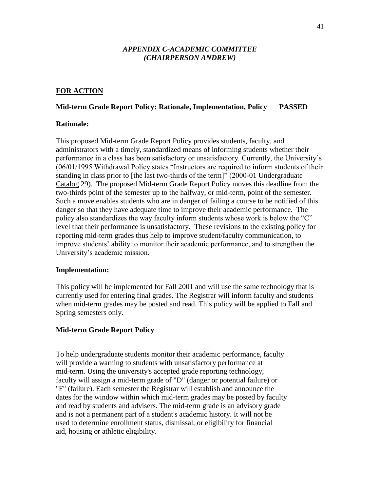#### *APPENDIX C-ACADEMIC COMMITTEE (CHAIRPERSON ANDREW)*

#### **FOR ACTION**

#### **Mid-term Grade Report Policy: Rationale, Implementation, Policy PASSED**

#### **Rationale:**

This proposed Mid-term Grade Report Policy provides students, faculty, and administrators with a timely, standardized means of informing students whether their performance in a class has been satisfactory or unsatisfactory. Currently, the University's (06/01/1995 Withdrawal Policy states "Instructors are required to inform students of their standing in class prior to [the last two-thirds of the term]" (2000-01 Undergraduate Catalog 29). The proposed Mid-term Grade Report Policy moves this deadline from the two-thirds point of the semester up to the halfway, or mid-term, point of the semester. Such a move enables students who are in danger of failing a course to be notified of this danger so that they have adequate time to improve their academic performance. The policy also standardizes the way faculty inform students whose work is below the "C" level that their performance is unsatisfactory. These revisions to the existing policy for reporting mid-term grades thus help to improve student/faculty communication, to improve students' ability to monitor their academic performance, and to strengthen the University's academic mission.

#### **Implementation:**

This policy will be implemented for Fall 2001 and will use the same technology that is currently used for entering final grades. The Registrar will inform faculty and students when mid-term grades may be posted and read. This policy will be applied to Fall and Spring semesters only.

#### **Mid-term Grade Report Policy**

To help undergraduate students monitor their academic performance, faculty will provide a warning to students with unsatisfactory performance at mid-term. Using the university's accepted grade reporting technology, faculty will assign a mid-term grade of "D" (danger or potential failure) or "F" (failure). Each semester the Registrar will establish and announce the dates for the window within which mid-term grades may be posted by faculty and read by students and advisers. The mid-term grade is an advisory grade and is not a permanent part of a student's academic history. It will not be used to determine enrollment status, dismissal, or eligibility for financial aid, housing or athletic eligibility.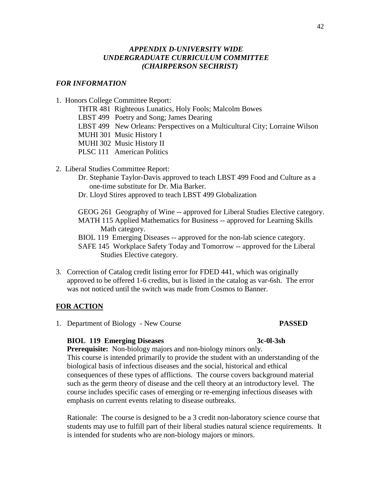# *APPENDIX D-UNIVERSITY WIDE UNDERGRADUATE CURRICULUM COMMITTEE (CHAIRPERSON SECHRIST)*

### *FOR INFORMATION*

- 1. Honors College Committee Report:
	- THTR 481 Righteous Lunatics, Holy Fools; Malcolm Bowes
	- LBST 499 Poetry and Song; James Dearing
	- LBST 499 New Orleans: Perspectives on a Multicultural City; Lorraine Wilson
	- MUHI 301 Music History I
	- MUHI 302 Music History II
	- PLSC 111 American Politics
- 2. Liberal Studies Committee Report:
	- Dr. Stephanie Taylor-Davis approved to teach LBST 499 Food and Culture as a one-time substitute for Dr. Mia Barker.
	- Dr. Lloyd Stires approved to teach LBST 499 Globalization

GEOG 261 Geography of Wine -- approved for Liberal Studies Elective category. MATH 115 Applied Mathematics for Business -- approved for Learning Skills Math category.

BIOL 119 Emerging Diseases -- approved for the non-lab science category.

SAFE 145 Workplace Safety Today and Tomorrow -- approved for the Liberal Studies Elective category.

3. Correction of Catalog credit listing error for FDED 441, which was originally approved to be offered 1-6 credits, but is listed in the catalog as var-6sh. The error was not noticed until the switch was made from Cosmos to Banner.

#### **FOR ACTION**

1. Department of Biology - New Course **PASSED**

#### **BIOL 119 Emerging Diseases 3c-0l-3sh**

# **Prerequisite:** Non-biology majors and non-biology minors only. This course is intended primarily to provide the student with an understanding of the biological basis of infectious diseases and the social, historical and ethical consequences of these types of afflictions. The course covers background material such as the germ theory of disease and the cell theory at an introductory level. The course includes specific cases of emerging or re-emerging infectious diseases with emphasis on current events relating to disease outbreaks.

 Rationale: The course is designed to be a 3 credit non-laboratory science course that students may use to fulfill part of their liberal studies natural science requirements. It is intended for students who are non-biology majors or minors.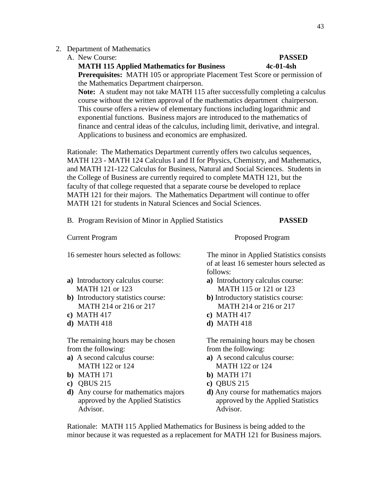#### 2. Department of Mathematics

#### A. New Course: **PASSED**

#### **MATH 115 Applied Mathematics for Business 4c-01-4sh**

 **Prerequisites:** MATH 105 or appropriate Placement Test Score or permission of the Mathematics Department chairperson.

 **Note:** A student may not take MATH 115 after successfully completing a calculus course without the written approval of the mathematics department chairperson. This course offers a review of elementary functions including logarithmic and exponential functions. Business majors are introduced to the mathematics of finance and central ideas of the calculus, including limit, derivative, and integral. Applications to business and economics are emphasized.

Rationale: The Mathematics Department currently offers two calculus sequences, MATH 123 - MATH 124 Calculus I and II for Physics, Chemistry, and Mathematics, and MATH 121-122 Calculus for Business, Natural and Social Sciences. Students in the College of Business are currently required to complete MATH 121, but the faculty of that college requested that a separate course be developed to replace MATH 121 for their majors. The Mathematics Department will continue to offer MATH 121 for students in Natural Sciences and Social Sciences.

|  |  |                                                    | <b>PASSED</b> |  |
|--|--|----------------------------------------------------|---------------|--|
|  |  | B. Program Revision of Minor in Applied Statistics |               |  |
|  |  |                                                    |               |  |

Current Program Proposed Program

- 
- **b**) Introductory statistics course: **b**) Introductory statistics course:
- **c)** MATH 417 **c)** MATH 417
- 

from the following: from the following:

- MATH 122 or 124 MATH 122 or 124
- **b)** MATH 171 **b)** MATH 171
- **c)** QBUS 215 **c)** QBUS 215
- **d)** Any course for mathematics majors **d)** Any course for mathematics majors Advisor. Advisor.

16 semester hours selected as follows: The minor in Applied Statistics consists of at least 16 semester hours selected as follows:

- **a)** Introductory calculus course: **a)** Introductory calculus course: MATH 121 or 123 MATH 115 or 121 or 123
	- MATH 214 or 216 or 217 MATH 214 or 216 or 217
		-
- **d)** MATH 418 **d)** MATH 418

The remaining hours may be chosen The remaining hours may be chosen

- **a)** A second calculus course: **a)** A second calculus course:
	-
	-
	- approved by the Applied Statistics approved by the Applied Statistics

 Rationale: MATH 115 Applied Mathematics for Business is being added to the minor because it was requested as a replacement for MATH 121 for Business majors.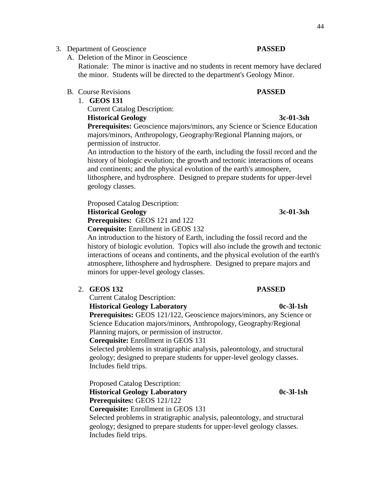#### 3. Department of Geoscience **PASSED**

A. Deletion of the Minor in Geoscience

 Rationale: The minor is inactive and no students in recent memory have declared the minor. Students will be directed to the department's Geology Minor.

- B. Course Revisions **PASSED**
	- 1. **GEOS 131**

Current Catalog Description:

# **Historical Geology 3c-01-3sh**

**Prerequisites:** Geoscience majors/minors, any Science or Science Education majors/minors, Anthropology, Geography/Regional Planning majors, or permission of instructor.

 An introduction to the history of the earth, including the fossil record and the history of biologic evolution; the growth and tectonic interactions of oceans and continents; and the physical evolution of the earth's atmosphere, lithosphere, and hydrosphere. Designed to prepare students for upper-level geology classes.

 Proposed Catalog Description:  **Historical Geology 3c-01-3sh**

 **Prerequisites:** GEOS 121 and 122

 **Corequisite:** Enrollment in GEOS 132

 An introduction to the history of Earth, including the fossil record and the history of biologic evolution. Topics will also include the growth and tectonic interactions of oceans and continents, and the physical evolution of the earth's atmosphere, lithosphere and hydrosphere. Designed to prepare majors and minors for upper-level geology classes.

2. **GEOS 132 PASSED**

Current Catalog Description:

**Historical Geology Laboratory 0c-3l-1sh**

 **Prerequisites:** GEOS 121/122, Geoscience majors/minors, any Science or Science Education majors/minors, Anthropology, Geography/Regional Planning majors, or permission of instructor.

#### **Corequisite:** Enrollment in GEOS 131

 Selected problems in stratigraphic analysis, paleontology, and structural geology; designed to prepare students for upper-level geology classes. Includes field trips.

Proposed Catalog Description: **Historical Geology Laboratory 0c-3l-1sh Prerequisites:** GEOS 121/122 **Corequisite:** Enrollment in GEOS 131

 Selected problems in stratigraphic analysis, paleontology, and structural geology; designed to prepare students for upper-level geology classes. Includes field trips.

# 44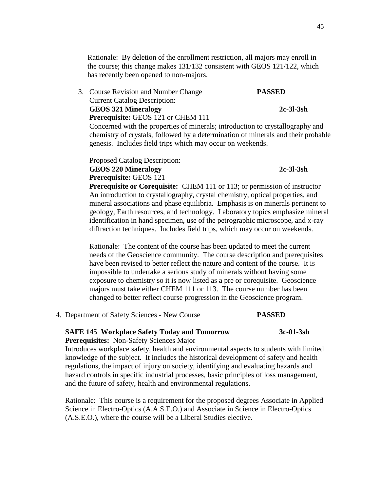Rationale: By deletion of the enrollment restriction, all majors may enroll in the course; this change makes 131/132 consistent with GEOS 121/122, which has recently been opened to non-majors.

3. Course Revision and Number Change **PASSED** Current Catalog Description: **GEOS 321 Mineralogy 2c-3l-3sh Prerequisite:** GEOS 121 or CHEM 111

 Concerned with the properties of minerals; introduction to crystallography and chemistry of crystals, followed by a determination of minerals and their probable genesis. Includes field trips which may occur on weekends.

 Proposed Catalog Description: **GEOS 220 Mineralogy 2c-3l-3sh Prerequisite:** GEOS 121

# **Prerequisite or Corequisite:** CHEM 111 or 113; or permission of instructor An introduction to crystallography, crystal chemistry, optical properties, and mineral associations and phase equilibria. Emphasis is on minerals pertinent to geology, Earth resources, and technology. Laboratory topics emphasize mineral identification in hand specimen, use of the petrographic microscope, and x-ray diffraction techniques. Includes field trips, which may occur on weekends.

 Rationale: The content of the course has been updated to meet the current needs of the Geoscience community. The course description and prerequisites have been revised to better reflect the nature and content of the course. It is impossible to undertake a serious study of minerals without having some exposure to chemistry so it is now listed as a pre or corequisite. Geoscience majors must take either CHEM 111 or 113. The course number has been changed to better reflect course progression in the Geoscience program.

4. Department of Safety Sciences - New Course **PASSED**

# **SAFE 145 Workplace Safety Today and Tomorrow 3c-01-3sh**

# **Prerequisites:** Non-Safety Sciences Major

 Introduces workplace safety, health and environmental aspects to students with limited knowledge of the subject. It includes the historical development of safety and health regulations, the impact of injury on society, identifying and evaluating hazards and hazard controls in specific industrial processes, basic principles of loss management, and the future of safety, health and environmental regulations.

Rationale: This course is a requirement for the proposed degrees Associate in Applied Science in Electro-Optics (A.A.S.E.O.) and Associate in Science in Electro-Optics (A.S.E.O.), where the course will be a Liberal Studies elective.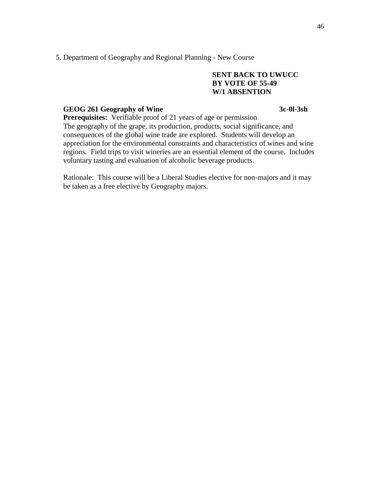#### 5. Department of Geography and Regional Planning - New Course

### **SENT BACK TO UWUCC BY VOTE OF 55-49 W/1 ABSENTION**

#### GEOG 261 Geography of Wine 3c-0l-3sh

**Prerequisites:** Verifiable proof of 21 years of age or permission The geography of the grape, its production, products, social significance, and consequences of the global wine trade are explored. Students will develop an appreciation for the environmental constraints and characteristics of wines and wine regions. Field trips to visit wineries are an essential element of the course. Includes voluntary tasting and evaluation of alcoholic beverage products.

 Rationale: This course will be a Liberal Studies elective for non-majors and it may be taken as a free elective by Geography majors.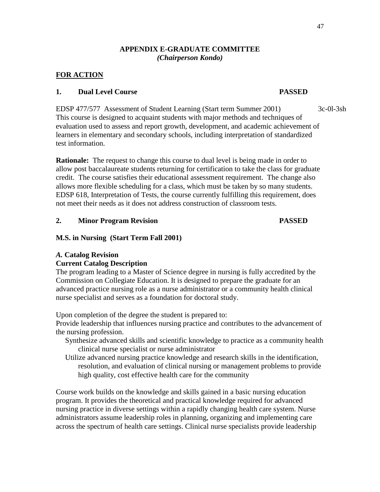# **APPENDIX E-GRADUATE COMMITTEE** *(Chairperson Kondo)*

# **FOR ACTION**

# **1. Dual Level Course PASSED**

EDSP 477/577 Assessment of Student Learning (Start term Summer 2001) 3c-0l-3sh This course is designed to acquaint students with major methods and techniques of evaluation used to assess and report growth, development, and academic achievement of learners in elementary and secondary schools, including interpretation of standardized test information.

**Rationale:** The request to change this course to dual level is being made in order to allow post baccalaureate students returning for certification to take the class for graduate credit. The course satisfies their educational assessment requirement. The change also allows more flexible scheduling for a class, which must be taken by so many students. EDSP 618, Interpretation of Tests, the course currently fulfilling this requirement, does not meet their needs as it does not address construction of classroom tests.

# **2. Minor Program Revision PASSED**

# **M.S. in Nursing (Start Term Fall 2001)**

# *A.* **Catalog Revision**

# **Current Catalog Description**

The program leading to a Master of Science degree in nursing is fully accredited by the Commission on Collegiate Education. It is designed to prepare the graduate for an advanced practice nursing role as a nurse administrator or a community health clinical nurse specialist and serves as a foundation for doctoral study.

Upon completion of the degree the student is prepared to:

Provide leadership that influences nursing practice and contributes to the advancement of the nursing profession.

- Synthesize advanced skills and scientific knowledge to practice as a community health clinical nurse specialist or nurse administrator
- Utilize advanced nursing practice knowledge and research skills in the identification, resolution, and evaluation of clinical nursing or management problems to provide high quality, cost effective health care for the community

Course work builds on the knowledge and skills gained in a basic nursing education program. It provides the theoretical and practical knowledge required for advanced nursing practice in diverse settings within a rapidly changing health care system. Nurse administrators assume leadership roles in planning, organizing and implementing care across the spectrum of health care settings. Clinical nurse specialists provide leadership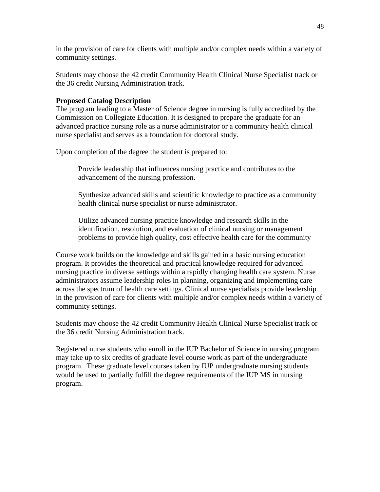in the provision of care for clients with multiple and/or complex needs within a variety of community settings.

Students may choose the 42 credit Community Health Clinical Nurse Specialist track or the 36 credit Nursing Administration track.

# **Proposed Catalog Description**

The program leading to a Master of Science degree in nursing is fully accredited by the Commission on Collegiate Education. It is designed to prepare the graduate for an advanced practice nursing role as a nurse administrator or a community health clinical nurse specialist and serves as a foundation for doctoral study.

Upon completion of the degree the student is prepared to:

Provide leadership that influences nursing practice and contributes to the advancement of the nursing profession.

Synthesize advanced skills and scientific knowledge to practice as a community health clinical nurse specialist or nurse administrator.

Utilize advanced nursing practice knowledge and research skills in the identification, resolution, and evaluation of clinical nursing or management problems to provide high quality, cost effective health care for the community

Course work builds on the knowledge and skills gained in a basic nursing education program. It provides the theoretical and practical knowledge required for advanced nursing practice in diverse settings within a rapidly changing health care system. Nurse administrators assume leadership roles in planning, organizing and implementing care across the spectrum of health care settings. Clinical nurse specialists provide leadership in the provision of care for clients with multiple and/or complex needs within a variety of community settings.

Students may choose the 42 credit Community Health Clinical Nurse Specialist track or the 36 credit Nursing Administration track.

Registered nurse students who enroll in the IUP Bachelor of Science in nursing program may take up to six credits of graduate level course work as part of the undergraduate program. These graduate level courses taken by IUP undergraduate nursing students would be used to partially fulfill the degree requirements of the IUP MS in nursing program.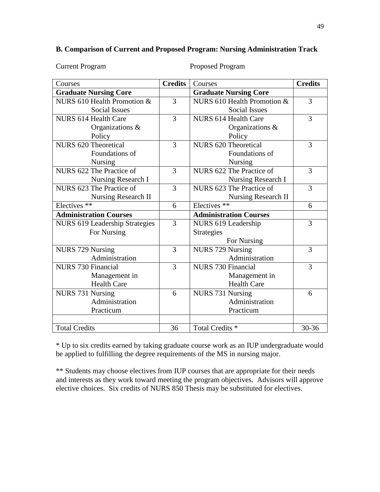# **B. Comparison of Current and Proposed Program: Nursing Administration Track**

| <b>Current Program</b> |
|------------------------|
|------------------------|

Proposed Program

| Courses                               | <b>Credits</b> | Courses                       | <b>Credits</b> |
|---------------------------------------|----------------|-------------------------------|----------------|
| <b>Graduate Nursing Core</b>          |                | <b>Graduate Nursing Core</b>  |                |
| NURS 610 Health Promotion $&$         | 3              | NURS 610 Health Promotion $&$ | 3              |
| Social Issues                         |                | <b>Social Issues</b>          |                |
| <b>NURS 614 Health Care</b>           | 3              | <b>NURS 614 Health Care</b>   | 3              |
| Organizations &                       |                | Organizations &               |                |
| Policy                                |                | Policy                        |                |
| NURS 620 Theoretical                  | 3              | NURS 620 Theoretical          | 3              |
| Foundations of                        |                | Foundations of                |                |
| <b>Nursing</b>                        |                | <b>Nursing</b>                |                |
| NURS 622 The Practice of              | 3              | NURS 622 The Practice of      | 3              |
| Nursing Research I                    |                | Nursing Research I            |                |
| NURS 623 The Practice of              | 3              | NURS 623 The Practice of      | 3              |
| Nursing Research II                   |                | Nursing Research II           |                |
| Electives **                          | 6              | Electives <sup>**</sup>       | 6              |
| <b>Administration Courses</b>         |                | <b>Administration Courses</b> |                |
| <b>NURS 619 Leadership Strategies</b> | 3              | NURS 619 Leadership           | 3              |
| For Nursing                           |                | <b>Strategies</b>             |                |
|                                       |                | For Nursing                   |                |
| <b>NURS 729 Nursing</b>               | 3              | <b>NURS 729 Nursing</b>       | 3              |
| Administration                        |                | Administration                |                |
| <b>NURS 730 Financial</b>             | 3              | <b>NURS 730 Financial</b>     | 3              |
| Management in                         |                | Management in                 |                |
| <b>Health Care</b>                    |                | <b>Health Care</b>            |                |
| NURS 731 Nursing                      | 6              | NURS 731 Nursing              | 6              |
| Administration                        |                | Administration                |                |
| Practicum                             |                | Practicum                     |                |
|                                       |                |                               |                |
| <b>Total Credits</b>                  | 36             | Total Credits <sup>*</sup>    | $30 - 36$      |

\* Up to six credits earned by taking graduate course work as an IUP undergraduate would be applied to fulfilling the degree requirements of the MS in nursing major.

\*\* Students may choose electives from IUP courses that are appropriate for their needs and interests as they work toward meeting the program objectives. Advisors will approve elective choices. Six credits of NURS 850 Thesis may be substituted for electives.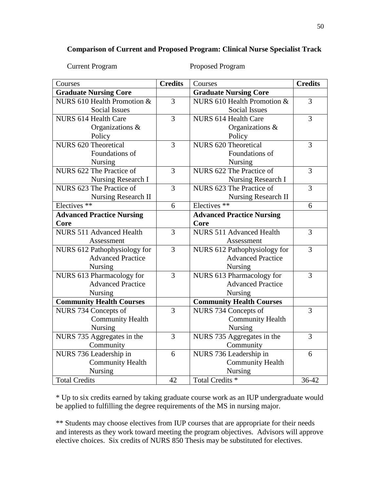# **Comparison of Current and Proposed Program: Clinical Nurse Specialist Track**

Current Program Proposed Program

| Courses                          | <b>Credits</b> | Courses                          | <b>Credits</b> |
|----------------------------------|----------------|----------------------------------|----------------|
| <b>Graduate Nursing Core</b>     |                | <b>Graduate Nursing Core</b>     |                |
| NURS 610 Health Promotion &      | $\overline{3}$ | NURS 610 Health Promotion &      | $\overline{3}$ |
| <b>Social Issues</b>             |                | <b>Social Issues</b>             |                |
| <b>NURS 614 Health Care</b>      | 3              | <b>NURS 614 Health Care</b>      | 3              |
| Organizations &                  |                | Organizations &                  |                |
| Policy                           |                | Policy                           |                |
| NURS 620 Theoretical             | 3              | NURS 620 Theoretical             | $\overline{3}$ |
| Foundations of                   |                | Foundations of                   |                |
| Nursing                          |                | Nursing                          |                |
| NURS 622 The Practice of         | 3              | NURS 622 The Practice of         | $\overline{3}$ |
| Nursing Research I               |                | <b>Nursing Research I</b>        |                |
| NURS 623 The Practice of         | 3              | NURS 623 The Practice of         | 3              |
| Nursing Research II              |                | Nursing Research II              |                |
| Electives $*$                    | 6              | Electives <sup>**</sup>          | 6              |
| <b>Advanced Practice Nursing</b> |                | <b>Advanced Practice Nursing</b> |                |
| Core                             |                | Core                             |                |
| <b>NURS 511 Advanced Health</b>  | 3              | <b>NURS 511 Advanced Health</b>  | 3              |
| Assessment                       |                | Assessment                       |                |
| NURS 612 Pathophysiology for     | 3              | NURS 612 Pathophysiology for     | 3              |
| <b>Advanced Practice</b>         |                | <b>Advanced Practice</b>         |                |
| Nursing                          |                | Nursing                          |                |
| NURS 613 Pharmacology for        | 3              | NURS 613 Pharmacology for        | 3              |
| <b>Advanced Practice</b>         |                | <b>Advanced Practice</b>         |                |
| Nursing                          |                | Nursing                          |                |
| <b>Community Health Courses</b>  |                | <b>Community Health Courses</b>  |                |
| NURS 734 Concepts of             | $\overline{3}$ | NURS 734 Concepts of             | 3              |
| <b>Community Health</b>          |                | <b>Community Health</b>          |                |
| Nursing                          |                | Nursing                          |                |
| NURS 735 Aggregates in the       | $\overline{3}$ | NURS 735 Aggregates in the       | 3              |
| Community                        |                | Community                        |                |
| NURS 736 Leadership in           | 6              | NURS 736 Leadership in           | 6              |
| <b>Community Health</b>          |                | <b>Community Health</b>          |                |
| Nursing                          |                | Nursing                          |                |
| <b>Total Credits</b>             | 42             | Total Credits <sup>*</sup>       | 36-42          |

\* Up to six credits earned by taking graduate course work as an IUP undergraduate would be applied to fulfilling the degree requirements of the MS in nursing major.

\*\* Students may choose electives from IUP courses that are appropriate for their needs and interests as they work toward meeting the program objectives. Advisors will approve elective choices. Six credits of NURS 850 Thesis may be substituted for electives.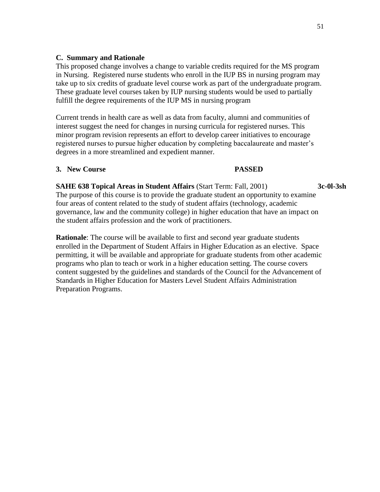# **C. Summary and Rationale**

This proposed change involves a change to variable credits required for the MS program in Nursing. Registered nurse students who enroll in the IUP BS in nursing program may take up to six credits of graduate level course work as part of the undergraduate program. These graduate level courses taken by IUP nursing students would be used to partially fulfill the degree requirements of the IUP MS in nursing program

Current trends in health care as well as data from faculty, alumni and communities of interest suggest the need for changes in nursing curricula for registered nurses. This minor program revision represents an effort to develop career initiatives to encourage registered nurses to pursue higher education by completing baccalaureate and master's degrees in a more streamlined and expedient manner.

# **3. New Course PASSED**

**SAHE 638 Topical Areas in Student Affairs** (Start Term: Fall, 2001) **3c-0l-3sh** The purpose of this course is to provide the graduate student an opportunity to examine four areas of content related to the study of student affairs (technology, academic governance, law and the community college) in higher education that have an impact on the student affairs profession and the work of practitioners.

**Rationale**: The course will be available to first and second year graduate students enrolled in the Department of Student Affairs in Higher Education as an elective. Space permitting, it will be available and appropriate for graduate students from other academic programs who plan to teach or work in a higher education setting. The course covers content suggested by the guidelines and standards of the Council for the Advancement of Standards in Higher Education for Masters Level Student Affairs Administration Preparation Programs.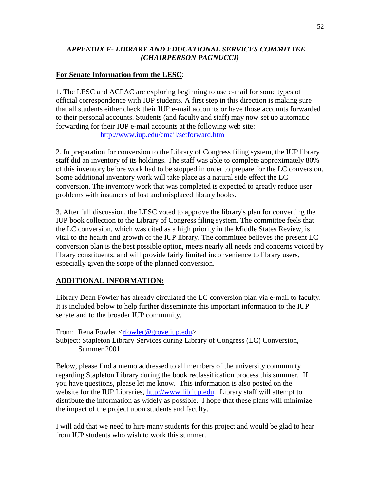# *APPENDIX F- LIBRARY AND EDUCATIONAL SERVICES COMMITTEE (CHAIRPERSON PAGNUCCI)*

# **For Senate Information from the LESC**:

1. The LESC and ACPAC are exploring beginning to use e-mail for some types of official correspondence with IUP students. A first step in this direction is making sure that all students either check their IUP e-mail accounts or have those accounts forwarded to their personal accounts. Students (and faculty and staff) may now set up automatic forwarding for their IUP e-mail accounts at the following web site: <http://www.iup.edu/email/setforward.htm>

2. In preparation for conversion to the Library of Congress filing system, the IUP library staff did an inventory of its holdings. The staff was able to complete approximately 80% of this inventory before work had to be stopped in order to prepare for the LC conversion. Some additional inventory work will take place as a natural side effect the LC conversion. The inventory work that was completed is expected to greatly reduce user problems with instances of lost and misplaced library books.

3. After full discussion, the LESC voted to approve the library's plan for converting the IUP book collection to the Library of Congress filing system. The committee feels that the LC conversion, which was cited as a high priority in the Middle States Review, is vital to the health and growth of the IUP library. The committee believes the present LC conversion plan is the best possible option, meets nearly all needs and concerns voiced by library constituents, and will provide fairly limited inconvenience to library users, especially given the scope of the planned conversion.

# **ADDITIONAL INFORMATION:**

Library Dean Fowler has already circulated the LC conversion plan via e-mail to faculty. It is included below to help further disseminate this important information to the IUP senate and to the broader IUP community.

From: Rena Fowler <rfowler@grove.jup.edu> Subject: Stapleton Library Services during Library of Congress (LC) Conversion, Summer 2001

Below, please find a memo addressed to all members of the university community regarding Stapleton Library during the book reclassification process this summer. If you have questions, please let me know. This information is also posted on the website for the IUP Libraries, [http://www.lib.iup.edu.](http://www.lib.iup.edu/) Library staff will attempt to distribute the information as widely as possible. I hope that these plans will minimize the impact of the project upon students and faculty.

I will add that we need to hire many students for this project and would be glad to hear from IUP students who wish to work this summer.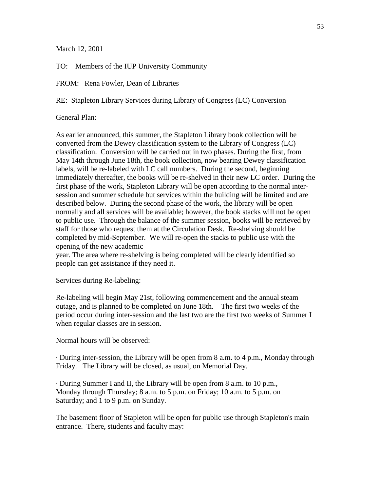March 12, 2001

TO: Members of the IUP University Community

FROM: Rena Fowler, Dean of Libraries

RE: Stapleton Library Services during Library of Congress (LC) Conversion

General Plan:

As earlier announced, this summer, the Stapleton Library book collection will be converted from the Dewey classification system to the Library of Congress (LC) classification. Conversion will be carried out in two phases. During the first, from May 14th through June 18th, the book collection, now bearing Dewey classification labels, will be re-labeled with LC call numbers. During the second, beginning immediately thereafter, the books will be re-shelved in their new LC order. During the first phase of the work, Stapleton Library will be open according to the normal intersession and summer schedule but services within the building will be limited and are described below. During the second phase of the work, the library will be open normally and all services will be available; however, the book stacks will not be open to public use. Through the balance of the summer session, books will be retrieved by staff for those who request them at the Circulation Desk. Re-shelving should be completed by mid-September. We will re-open the stacks to public use with the opening of the new academic

year. The area where re-shelving is being completed will be clearly identified so people can get assistance if they need it.

Services during Re-labeling:

Re-labeling will begin May 21st, following commencement and the annual steam outage, and is planned to be completed on June 18th. The first two weeks of the period occur during inter-session and the last two are the first two weeks of Summer I when regular classes are in session.

Normal hours will be observed:

· During inter-session, the Library will be open from 8 a.m. to 4 p.m., Monday through Friday. The Library will be closed, as usual, on Memorial Day.

· During Summer I and II, the Library will be open from 8 a.m. to 10 p.m., Monday through Thursday; 8 a.m. to 5 p.m. on Friday; 10 a.m. to 5 p.m. on Saturday; and 1 to 9 p.m. on Sunday.

The basement floor of Stapleton will be open for public use through Stapleton's main entrance. There, students and faculty may: